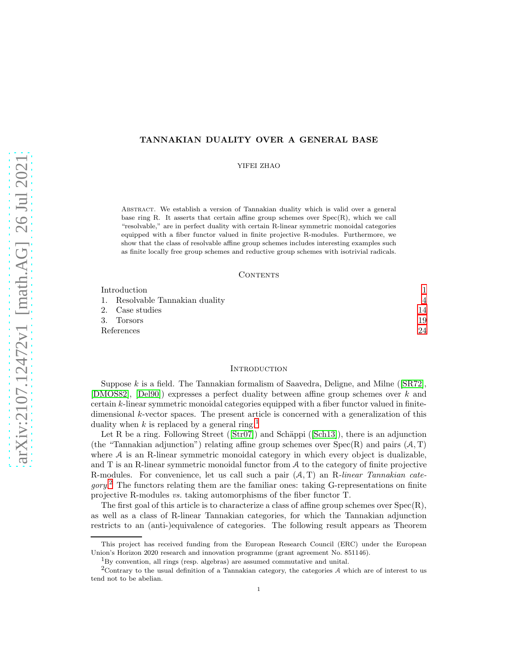## TANNAKIAN DUALITY OVER A GENERAL BASE

YIFEI ZHAO

Abstract. We establish a version of Tannakian duality which is valid over a general base ring R. It asserts that certain affine group schemes over  $Spec(R)$ , which we call "resolvable," are in perfect duality with certain R-linear symmetric monoidal categories equipped with a fiber functor valued in finite projective R-modules. Furthermore, we show that the class of resolvable affine group schemes includes interesting examples such as finite locally free group schemes and reductive group schemes with isotrivial radicals.

## CONTENTS

| Introduction                    |    |
|---------------------------------|----|
| 1. Resolvable Tannakian duality | Δ  |
| 2. Case studies                 | 14 |
| 3. Torsors                      | 19 |
| References                      | 24 |

## <span id="page-0-0"></span>**INTRODUCTION**

Suppose k is a field. The Tannakian formalism of Saavedra, Deligne, and Milne ([\[SR72\]](#page-23-1). [\[DMOS82\]](#page-23-2), [\[Del90\]](#page-23-3)) expresses a perfect duality between affine group schemes over k and certain  $k$ -linear symmetric monoidal categories equipped with a fiber functor valued in finitedimensional  $k$ -vector spaces. The present article is concerned with a generalization of this duality when k is replaced by a general ring.<sup>[1](#page-0-1)</sup>

Let R be a ring. Following Street ( $[Str07]$ ) and Schäppi ( $[Sch13]$ ), there is an adjunction (the "Tannakian adjunction") relating affine group schemes over  $Spec(R)$  and pairs  $(A, T)$ where  $A$  is an R-linear symmetric monoidal category in which every object is dualizable, and T is an R-linear symmetric monoidal functor from A to the category of finite projective R-modules. For convenience, let us call such a pair  $(A, T)$  an R-linear Tannakian cate- $gory<sup>2</sup>$  $gory<sup>2</sup>$  $gory<sup>2</sup>$ . The functors relating them are the familiar ones: taking G-representations on finite projective R-modules vs. taking automorphisms of the fiber functor T.

The first goal of this article is to characterize a class of affine group schemes over  $Spec(R)$ , as well as a class of R-linear Tannakian categories, for which the Tannakian adjunction restricts to an (anti-)equivalence of categories. The following result appears as Theorem

This project has received funding from the European Research Council (ERC) under the European Union's Horizon 2020 research and innovation programme (grant agreement No. 851146).

<span id="page-0-1"></span> ${}^{1}_{1}$ By convention, all rings (resp. algebras) are assumed commutative and unital.

<span id="page-0-2"></span><sup>&</sup>lt;sup>2</sup>Contrary to the usual definition of a Tannakian category, the categories  $A$  which are of interest to us tend not to be abelian.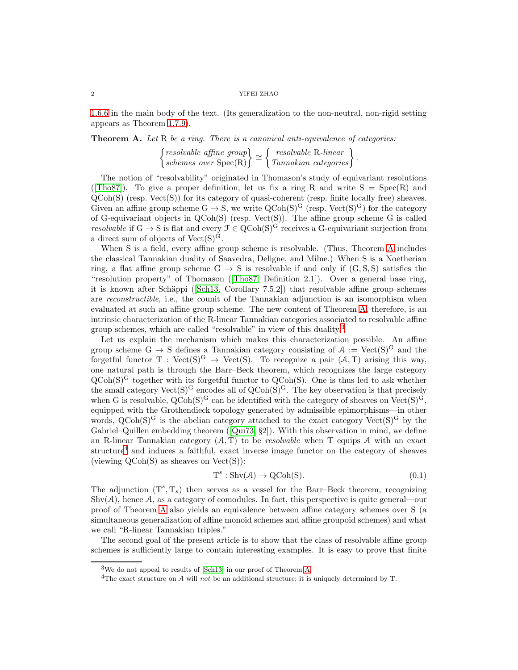### $2\,$   $\,$  YIFEI ZHAO  $\,$

[1.6.6](#page-11-0) in the main body of the text. (Its generalization to the non-neutral, non-rigid setting appears as Theorem [1.7.9\)](#page-12-0).

<span id="page-1-0"></span>Theorem A. Let R be a ring. There is a canonical anti-equivalence of categories:

 $\left\{\begin{matrix} resolvable\text{ affine group}\\ schemes\text{ over }Spec(R)\end{matrix}\right\} \cong \left\{\begin{matrix} resolvable\text{ R-linear}\\Tannakian\text{ categories}\end{matrix}\right\}.$ 

The notion of "resolvability" originated in Thomason's study of equivariant resolutions ([\[Tho87\]](#page-23-6)). To give a proper definition, let us fix a ring R and write  $S = Spec(R)$  and  $\widetilde{\text{QCoh}}(S)$  (resp. Vect $(S)$ ) for its category of quasi-coherent (resp. finite locally free) sheaves. Given an affine group scheme  $G \to S$ , we write  $Q\text{Coh}(S)^G$  (resp. Vect $(S)^G$ ) for the category of G-equivariant objects in  $QCoh(S)$  (resp. Vect $(S)$ ). The affine group scheme G is called resolvable if  $G \to S$  is flat and every  $\mathcal{F} \in \mathrm{QCoh}(S)^G$  receives a G-equivariant surjection from a direct sum of objects of  $Vect(S)^G$ .

When S is a field, every affine group scheme is resolvable. (Thus, Theorem [A](#page-1-0) includes the classical Tannakian duality of Saavedra, Deligne, and Milne.) When S is a Noetherian ring, a flat affine group scheme  $G \rightarrow S$  is resolvable if and only if  $(G, S, S)$  satisfies the "resolution property" of Thomason ([\[Tho87,](#page-23-6) Definition 2.1]). Over a general base ring, it is known after Schäppi ([\[Sch13,](#page-23-5) Corollary 7.5.2]) that resolvable affine group schemes are reconstructible, i.e., the counit of the Tannakian adjunction is an isomorphism when evaluated at such an affine group scheme. The new content of Theorem [A,](#page-1-0) therefore, is an intrinsic characterization of the R-linear Tannakian categories associated to resolvable affine group schemes, which are called "resolvable" in view of this duality.[3](#page-1-1)

Let us explain the mechanism which makes this characterization possible. An affine group scheme G  $\rightarrow$  S defines a Tannakian category consisting of  $\mathcal{A} := \text{Vect}(S)^G$  and the forgetful functor T :  $Vect(S)^G \rightarrow Vect(S)$ . To recognize a pair  $(A, T)$  arising this way, one natural path is through the Barr–Beck theorem, which recognizes the large category  $QCoh(S)^G$  together with its forgetful functor to  $QCoh(S)$ . One is thus led to ask whether the small category  $Vect(S)^G$  encodes all of  $QCoh(S)^G$ . The key observation is that precisely when G is resolvable,  $QCoh(S)^G$  can be identified with the category of sheaves on  $Vect(S)^G$ , equipped with the Grothendieck topology generated by admissible epimorphisms—in other words,  $QCoh(S)^G$  is the abelian category attached to the exact category  $Vect(S)^G$  by the Gabriel–Quillen embedding theorem ([\[Qui73,](#page-23-7) §2]). With this observation in mind, we define an R-linear Tannakian category  $(A, T)$  to be *resolvable* when T equips A with an exact structure<sup>[4](#page-1-2)</sup> and induces a faithful, exact inverse image functor on the category of sheaves (viewing  $QCoh(S)$  as sheaves on  $Vect(S)$ ):

$$
T^s: Shv(\mathcal{A}) \to QCoh(S). \tag{0.1}
$$

The adjunction  $(T^s, T_s)$  then serves as a vessel for the Barr–Beck theorem, recognizing  $\text{Shv}(\mathcal{A})$ , hence  $\mathcal{A}$ , as a category of comodules. In fact, this perspective is quite general—our proof of Theorem [A](#page-1-0) also yields an equivalence between affine category schemes over S (a simultaneous generalization of affine monoid schemes and affine groupoid schemes) and what we call "R-linear Tannakian triples."

The second goal of the present article is to show that the class of resolvable affine group schemes is sufficiently large to contain interesting examples. It is easy to prove that finite

<sup>&</sup>lt;sup>3</sup>We do not appeal to results of [\[Sch13\]](#page-23-5) in our proof of Theorem [A.](#page-1-0)

<span id="page-1-2"></span><span id="page-1-1"></span><sup>&</sup>lt;sup>4</sup>The exact structure on A will not be an additional structure; it is uniquely determined by T.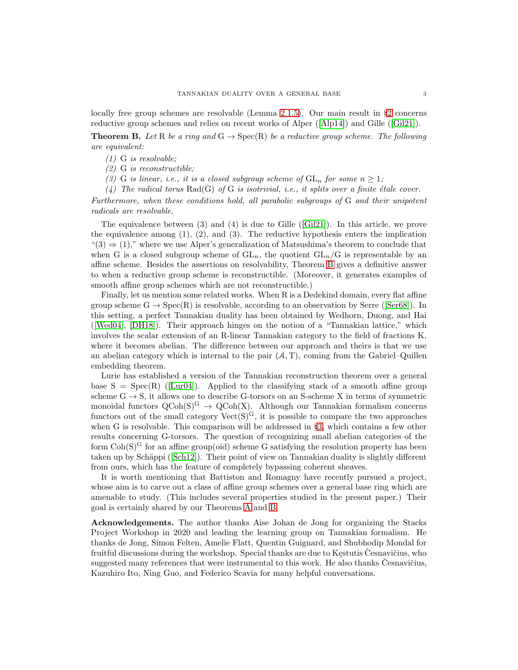locally free group schemes are resolvable (Lemma [2.1.5\)](#page-14-0). Our main result in §[2](#page-13-0) concerns reductive group schemes and relies on recent works of Alper ([\[Alp14\]](#page-23-8)) and Gille ([\[Gil21\]](#page-23-9)).

<span id="page-2-0"></span>**Theorem B.** Let R be a ring and  $G \rightarrow Spec(R)$  be a reductive group scheme. The following are equivalent:

(1) G is resolvable;

(2) G is reconstructible;

(3) G is linear, i.e., it is a closed subgroup scheme of  $GL_n$  for some  $n \geq 1$ ;

(4) The radical torus  $Rad(G)$  of G is isotrivial, i.e., it splits over a finite étale cover.

Furthermore, when these conditions hold, all parabolic subgroups of G and their unipotent radicals are resolvable.

The equivalence between (3) and (4) is due to Gille ([\[Gil21\]](#page-23-9)). In this article, we prove the equivalence among  $(1)$ ,  $(2)$ , and  $(3)$ . The reductive hypothesis enters the implication  $(3) \Rightarrow (1)$ ," where we use Alper's generalization of Matsushima's theorem to conclude that when G is a closed subgroup scheme of  $GL_n$ , the quotient  $GL_n/G$  is representable by an affine scheme. Besides the assertions on resolvability, Theorem [B](#page-2-0) gives a definitive answer to when a reductive group scheme is reconstructible. (Moreover, it generates examples of smooth affine group schemes which are not reconstructible.)

Finally, let us mention some related works. When R is a Dedekind domain, every flat affine group scheme  $G \to Spec(R)$  is resolvable, according to an observation by Serre ([\[Ser68\]](#page-23-10)). In this setting, a perfect Tannakian duality has been obtained by Wedhorn, Duong, and Hai ([\[Wed04\]](#page-24-0), [\[DH18\]](#page-23-11)). Their approach hinges on the notion of a "Tannakian lattice," which involves the scalar extension of an R-linear Tannakian category to the field of fractions K, where it becomes abelian. The difference between our approach and theirs is that we use an abelian category which is internal to the pair  $(A, T)$ , coming from the Gabriel–Quillen embedding theorem.

Lurie has established a version of the Tannakian reconstruction theorem over a general base  $S = Spec(R)$  ([\[Lur04\]](#page-23-12)). Applied to the classifying stack of a smooth affine group scheme  $G \to S$ , it allows one to describe G-torsors on an S-scheme X in terms of symmetric monoidal functors  $QCoh(S)^G \rightarrow QCoh(X)$ . Although our Tannakian formalism concerns functors out of the small category  $Vect(S)^G$ , it is possible to compare the two approaches when G is resolvable. This comparison will be addressed in §[3,](#page-18-0) which contains a few other results concerning G-torsors. The question of recognizing small abelian categories of the form  $\text{Coh}(S)^G$  for an affine group(oid) scheme G satisfying the resolution property has been taken up by Schäppi ([\[Sch12\]](#page-23-13)). Their point of view on Tannakian duality is slightly different from ours, which has the feature of completely bypassing coherent sheaves.

It is worth mentioning that Battiston and Romagny have recently pursued a project, whose aim is to carve out a class of affine group schemes over a general base ring which are amenable to study. (This includes several properties studied in the present paper.) Their goal is certainly shared by our Theorems [A](#page-1-0) and [B.](#page-2-0)

Acknowledgements. The author thanks Aise Johan de Jong for organizing the Stacks Project Workshop in 2020 and leading the learning group on Tannakian formalism. He thanks de Jong, Simon Felten, Amelie Flatt, Quentin Guignard, and Shubhodip Mondal for fruitful discussions during the workshop. Special thanks are due to Kestutis Cesnavičius, who suggested many references that were instrumental to this work. He also thanks Cesnavičius, Kazuhiro Ito, Ning Guo, and Federico Scavia for many helpful conversations.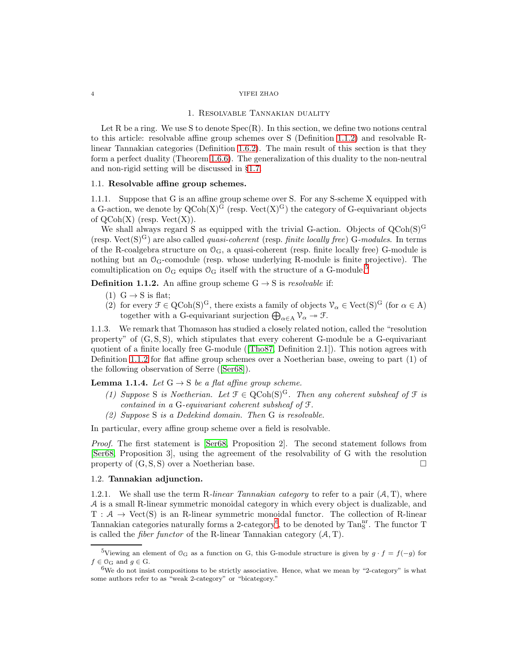#### 1. Resolvable Tannakian duality

<span id="page-3-0"></span>Let R be a ring. We use S to denote  $Spec(R)$ . In this section, we define two notions central to this article: resolvable affine group schemes over S (Definition [1.1.2\)](#page-3-1) and resolvable Rlinear Tannakian categories (Definition [1.6.2\)](#page-9-0). The main result of this section is that they form a perfect duality (Theorem [1.6.6\)](#page-11-0). The generalization of this duality to the non-neutral and non-rigid setting will be discussed in §[1.7.](#page-11-1)

## <span id="page-3-8"></span><span id="page-3-6"></span>1.1. Resolvable affine group schemes.

1.1.1. Suppose that G is an affine group scheme over S. For any S-scheme X equipped with a G-action, we denote by  $Q\text{Coh}(X)^G$  (resp.  $Vect(X)^G$ ) the category of G-equivariant objects of  $QCoh(X)$  (resp.  $Vect(X)$ ).

We shall always regard S as equipped with the trivial G-action. Objects of  $QCoh(S)^G$ (resp. Vect(S)<sup>G</sup>) are also called *quasi-coherent* (resp. *finite locally free*) G-modules. In terms of the R-coalgebra structure on  $\mathcal{O}_G$ , a quasi-coherent (resp. finite locally free) G-module is nothing but an  $O_G$ -comodule (resp. whose underlying R-module is finite projective). The comultiplication on  $\mathcal{O}_G$  equips  $\mathcal{O}_G$  itself with the structure of a G-module.<sup>[5](#page-3-2)</sup>

<span id="page-3-1"></span>**Definition 1.1.2.** An affine group scheme  $G \rightarrow S$  is resolvable if:

- (1)  $G \rightarrow S$  is flat;
- (2) for every  $\mathcal{F} \in \text{QCoh}(S)^G$ , there exists a family of objects  $\mathcal{V}_{\alpha} \in \text{Vect}(S)^G$  (for  $\alpha \in A$ ) together with a G-equivariant surjection  $\bigoplus_{\alpha \in A} \mathcal{V}_{\alpha} \to \mathcal{F}$ .

1.1.3. We remark that Thomason has studied a closely related notion, called the "resolution property" of  $(G, S, S)$ , which stipulates that every coherent G-module be a G-equivariant quotient of a finite locally free G-module ([\[Tho87,](#page-23-6) Definition 2.1]). This notion agrees with Definition [1.1.2](#page-3-1) for flat affine group schemes over a Noetherian base, oweing to part (1) of the following observation of Serre ([\[Ser68\]](#page-23-10)).

<span id="page-3-7"></span>**Lemma 1.1.4.** Let  $G \rightarrow S$  be a flat affine group scheme.

- (1) Suppose S is Noetherian. Let  $\mathcal{F} \in \text{QCoh}(S)^G$ . Then any coherent subsheaf of  $\mathcal{F}$  is contained in a G-equivariant coherent subsheaf of F.
- (2) Suppose S is a Dedekind domain. Then G is resolvable.

In particular, every affine group scheme over a field is resolvable.

Proof. The first statement is [\[Ser68,](#page-23-10) Proposition 2]. The second statement follows from [\[Ser68,](#page-23-10) Proposition 3], using the agreement of the resolvability of G with the resolution property of  $(G, S, S)$  over a Noetherian base.

## <span id="page-3-5"></span><span id="page-3-4"></span>1.2. Tannakian adjunction.

1.2.1. We shall use the term R-linear Tannakian category to refer to a pair  $(A, T)$ , where A is a small R-linear symmetric monoidal category in which every object is dualizable, and  $T : A \rightarrow$  Vect(S) is an R-linear symmetric monoidal functor. The collection of R-linear Tannakian categories naturally forms a 2-category<sup>[6](#page-3-3)</sup>, to be denoted by Tan<sup>nr</sup>. The functor T is called the *fiber functor* of the R-linear Tannakian category  $(A, T)$ .

<span id="page-3-2"></span><sup>&</sup>lt;sup>5</sup>Viewing an element of  $\mathcal{O}_G$  as a function on G, this G-module structure is given by  $g \cdot f = f(-g)$  for  $f \in \mathcal{O}_G$  and  $g \in G$ .

<span id="page-3-3"></span> $6$ We do not insist compositions to be strictly associative. Hence, what we mean by "2-category" is what some authors refer to as "weak 2-category" or "bicategory."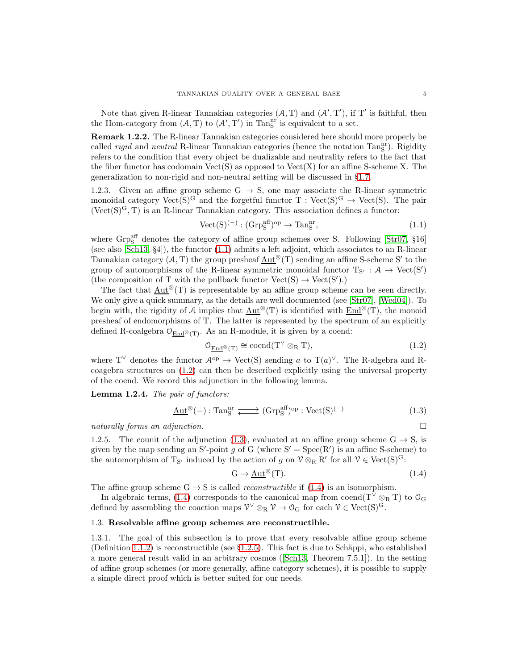Note that given R-linear Tannakian categories  $(A, T)$  and  $(A', T')$ , if T' is faithful, then the Hom-category from  $(A, T)$  to  $(A', T')$  in Tan<sub>S</sub><sup>nr</sup> is equivalent to a set.

Remark 1.2.2. The R-linear Tannakian categories considered here should more properly be called *rigid* and *neutral* R-linear Tannakian categories (hence the notation  $\text{Tan}_{\text{S}}^{\text{nr}}$ ). Rigidity refers to the condition that every object be dualizable and neutrality refers to the fact that the fiber functor has codomain  $Vect(S)$  as opposed to  $Vect(X)$  for an affine S-scheme X. The generalization to non-rigid and non-neutral setting will be discussed in §[1.7.](#page-11-1)

1.2.3. Given an affine group scheme  $G \rightarrow S$ , one may associate the R-linear symmetric monoidal category  $Vect(S)^G$  and the forgetful functor T :  $Vect(S)^G \rightarrow Vect(S)$ . The pair  $(\text{Vect}(S)^G, T)$  is an R-linear Tannakian category. This association defines a functor:

<span id="page-4-0"></span>
$$
Vect(S)^{(-)} : (Grp_S^{aff})^{op} \to Tan_S^{nr}, \tag{1.1}
$$

where  $\text{Grp}_\text{S}^\text{aff}$  denotes the category of affine group schemes over S. Following [\[Str07,](#page-23-4) §16] (see also [\[Sch13,](#page-23-5) §4]), the functor [\(1.1\)](#page-4-0) admits a left adjoint, which associates to an R-linear Tannakian category  $(A, T)$  the group presheaf  $\underline{\mathrm{Aut}}^{\otimes}(T)$  sending an affine S-scheme S' to the group of automorphisms of the R-linear symmetric monoidal functor  $T_{S'} : A \rightarrow Vect(S')$ (the composition of T with the pullback functor  $Vect(S) \rightarrow Vect(S')$ .)

The fact that  $\text{Aut}^{\otimes}(T)$  is representable by an affine group scheme can be seen directly. We only give a quick summary, as the details are well documented (see [\[Str07\]](#page-23-4), [\[Wed04\]](#page-24-0)). To begin with, the rigidity of A implies that  $\underline{\mathrm{Aut}}^{\otimes}(T)$  is identified with  $\underline{\mathrm{End}}^{\otimes}(T)$ , the monoid presheaf of endomorphisms of T. The latter is represented by the spectrum of an explicitly defined R-coalgebra  $\mathcal{O}_{\text{End}^{\otimes}(\mathbb{T})}$ . As an R-module, it is given by a coend:

<span id="page-4-1"></span>
$$
O_{\underline{\text{End}}^{\otimes}(T)} \cong \text{coend}(T^{\vee} \otimes_{R} T), \tag{1.2}
$$

where T<sup> $\vee$ </sup> denotes the functor  $\mathcal{A}^{\text{op}} \to \text{Vect}(S)$  sending a to T $(a)^{\vee}$ . The R-algebra and Rcoagebra structures on [\(1.2\)](#page-4-1) can then be described explicitly using the universal property of the coend. We record this adjunction in the following lemma.

Lemma 1.2.4. The pair of functors:

<span id="page-4-2"></span>
$$
\underline{\text{Aut}}^{\otimes}(-): \text{Tan}_{\text{S}}^{\text{nr}} \xrightarrow{\qquad} (\text{Grp}_{\text{S}}^{\text{aff}})^{\text{op}} : \text{Vect}(\text{S})^{(-)} \tag{1.3}
$$

<span id="page-4-4"></span>naturally forms an adjunction.

1.2.5. The counit of the adjunction [\(1.3\)](#page-4-2), evaluated at an affine group scheme  $G \rightarrow S$ , is given by the map sending an S'-point g of G (where  $S' = Spec(R')$  is an affine S-scheme) to the automorphism of  $T_{S'}$  induced by the action of g on  $V \otimes_R R'$  for all  $V \in \text{Vect}(S)^G$ :

<span id="page-4-3"></span>
$$
G \to \underline{\mathrm{Aut}}^{\otimes}(T). \tag{1.4}
$$

The affine group scheme  $G \rightarrow S$  is called *reconstructible* if [\(1.4\)](#page-4-3) is an isomorphism.

In algebraic terms, [\(1.4\)](#page-4-3) corresponds to the canonical map from coend(T<sup> $\vee \otimes_R T$ </sup>) to  $\mathcal{O}_G$ defined by assembling the coaction maps  $\mathcal{V}^{\vee} \otimes_R \mathcal{V} \to \mathcal{O}_G$  for each  $\mathcal{V} \in \text{Vect}(S)^G$ .

## 1.3. Resolvable affine group schemes are reconstructible.

1.3.1. The goal of this subsection is to prove that every resolvable affine group scheme (Definition [1.1.2\)](#page-3-1) is reconstructible (see  $\S1.2.5$ ). This fact is due to Schäppi, who established a more general result valid in an arbitrary cosmos ([\[Sch13,](#page-23-5) Theorem 7.5.1]). In the setting of affine group schemes (or more generally, affine category schemes), it is possible to supply a simple direct proof which is better suited for our needs.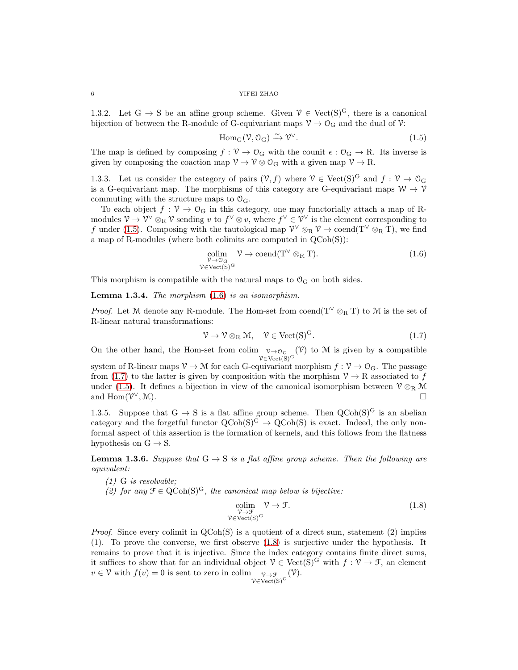1.3.2. Let  $G \rightarrow S$  be an affine group scheme. Given  $\mathcal{V} \in \text{Vect}(S)^G$ , there is a canonical bijection of between the R-module of G-equivariant maps  $\mathcal{V} \to \mathcal{O}_G$  and the dual of  $\mathcal{V}$ :

<span id="page-5-0"></span>
$$
Hom_G(\mathcal{V}, \mathcal{O}_G) \xrightarrow{\sim} \mathcal{V}^{\vee}.
$$
\n(1.5)

The map is defined by composing  $f: V \to O_G$  with the counit  $\epsilon: O_G \to R$ . Its inverse is given by composing the coaction map  $\mathcal{V} \to \mathcal{V} \otimes \mathcal{O}_G$  with a given map  $\mathcal{V} \to R$ .

1.3.3. Let us consider the category of pairs  $(\mathcal{V}, f)$  where  $\mathcal{V} \in \text{Vect}(S)^G$  and  $f : \mathcal{V} \to \mathcal{O}_G$ is a G-equivariant map. The morphisms of this category are G-equivariant maps  $W \to V$ commuting with the structure maps to  $\mathcal{O}_G$ .

To each object  $f : \mathcal{V} \to \mathcal{O}_G$  in this category, one may functorially attach a map of Rmodules  $\mathcal{V} \to \mathcal{V}^{\vee} \otimes_R \mathcal{V}$  sending v to  $f^{\vee} \otimes v$ , where  $f^{\vee} \in \mathcal{V}^{\vee}$  is the element corresponding to f under [\(1.5\)](#page-5-0). Composing with the tautological map  $\mathcal{V}^{\vee} \otimes_R \mathcal{V} \to \text{coend}(\mathcal{T}^{\vee} \otimes_R \mathcal{T})$ , we find a map of R-modules (where both colimits are computed in QCoh(S)):

<span id="page-5-1"></span>
$$
\underset{\substack{\mathcal{V}\to\mathcal{O}_{\mathcal{G}}\\\mathcal{V}\in\mathrm{Vect}(S)^{\mathcal{G}}}}{\text{colim}} \mathcal{V}\to\mathrm{coend}(T^{\vee}\otimes_{R}T). \tag{1.6}
$$

This morphism is compatible with the natural maps to  $\mathcal{O}_G$  on both sides.

<span id="page-5-4"></span>**Lemma 1.3.4.** The morphism  $(1.6)$  is an isomorphism.

*Proof.* Let M denote any R-module. The Hom-set from coend( $T^{\vee} \otimes_R T$ ) to M is the set of R-linear natural transformations:

<span id="page-5-2"></span>
$$
\mathcal{V} \to \mathcal{V} \otimes_{\mathbf{R}} \mathcal{M}, \quad \mathcal{V} \in \text{Vect}(\mathbf{S})^{\mathbf{G}}.
$$
 (1.7)

On the other hand, the Hom-set from colim  $v \rightarrow 0_G$  $V \in Vect(S)^G$  $(V)$  to M is given by a compatible

system of R-linear maps  $\mathcal{V} \to \mathcal{M}$  for each G-equivariant morphism  $f : \mathcal{V} \to \mathcal{O}_G$ . The passage from [\(1.7\)](#page-5-2) to the latter is given by composition with the morphism  $\mathcal{V} \to \mathbb{R}$  associated to f under [\(1.5\)](#page-5-0). It defines a bijection in view of the canonical isomorphism between  $\mathcal{V} \otimes_R \mathcal{M}$ and  $\text{Hom}(\mathcal{V}^{\vee}, \mathcal{M}).$  $\vee$ , M).

<span id="page-5-6"></span>1.3.5. Suppose that  $G \to S$  is a flat affine group scheme. Then  $QCoh(S)^G$  is an abelian category and the forgetful functor  $Q\text{Coh}(S)^G \to Q\text{Coh}(S)$  is exact. Indeed, the only nonformal aspect of this assertion is the formation of kernels, and this follows from the flatness hypothesis on  $G \rightarrow S$ .

<span id="page-5-5"></span>**Lemma 1.3.6.** Suppose that  $G \rightarrow S$  is a flat affine group scheme. Then the following are equivalent:

- (1) G is resolvable;
- (2) for any  $\mathcal{F} \in \text{QCoh}(S)^G$ , the canonical map below is bijective:

<span id="page-5-3"></span>
$$
\underset{\substack{\mathcal{V}\to\mathcal{F}\\ \mathcal{V}\in\text{Vect}(S)^G}}{\text{colim}} \mathcal{V}\to\mathcal{F}.\tag{1.8}
$$

*Proof.* Since every colimit in  $QCoh(S)$  is a quotient of a direct sum, statement (2) implies (1). To prove the converse, we first observe [\(1.8\)](#page-5-3) is surjective under the hypothesis. It remains to prove that it is injective. Since the index category contains finite direct sums, it suffices to show that for an individual object  $\mathcal{V} \in \text{Vect}(S)^G$  with  $f: \mathcal{V} \to \mathcal{F}$ , an element  $v \in \mathcal{V}$  with  $f(v) = 0$  is sent to zero in colim  $v \to \mathcal{F}$ <br> $v \in \text{Vect}(S)^G$ (V).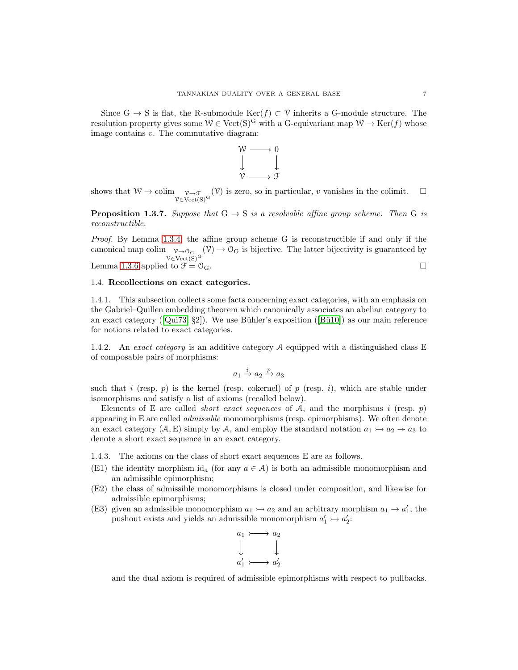Since G  $\rightarrow$  S is flat, the R-submodule Ker(f)  $\subset \mathcal{V}$  inherits a G-module structure. The resolution property gives some  $W \in \text{Vect}(S)^G$  with a G-equivariant map  $W \to \text{Ker}(f)$  whose image contains v. The commutative diagram:



shows that  $W \to \text{colim} \sup_{\mathcal{V} \in \text{Vect}(S)^G}$  $(V)$  is zero, so in particular, v vanishes in the colimit.  $\square$ 

<span id="page-6-0"></span>**Proposition 1.3.7.** Suppose that  $G \rightarrow S$  is a resolvable affine group scheme. Then G is reconstructible.

Proof. By Lemma [1.3.4,](#page-5-4) the affine group scheme G is reconstructible if and only if the canonical map colim  $v \rightarrow o_G$  $V \in Vect(S)^G$  $(\mathcal{V}) \to \mathcal{O}_G$  is bijective. The latter bijectivity is guaranteed by Lemma [1.3.6](#page-5-5) applied to  $\mathcal{F} = \mathcal{O}_G$ .

## 1.4. Recollections on exact categories.

1.4.1. This subsection collects some facts concerning exact categories, with an emphasis on the Gabriel–Quillen embedding theorem which canonically associates an abelian category to an exact category ( $[Qui73, §2]$  $[Qui73, §2]$ ). We use Bühler's exposition ( $[Bü10]$ ) as our main reference for notions related to exact categories.

1.4.2. An exact category is an additive category  $A$  equipped with a distinguished class E of composable pairs of morphisms:

$$
a_1\stackrel{i}{\to}a_2\stackrel{p}{\to}a_3
$$

such that i (resp. p) is the kernel (resp. cokernel) of p (resp. i), which are stable under isomorphisms and satisfy a list of axioms (recalled below).

Elements of E are called *short exact sequences* of A, and the morphisms i (resp. p) appearing in E are called *admissible* monomorphisms (resp. epimorphisms). We often denote an exact category  $(A, E)$  simply by A, and employ the standard notation  $a_1 \rightarrow a_2 \rightarrow a_3$  to denote a short exact sequence in an exact category.

1.4.3. The axioms on the class of short exact sequences E are as follows.

- (E1) the identity morphism id<sub>a</sub> (for any  $a \in \mathcal{A}$ ) is both an admissible monomorphism and an admissible epimorphism;
- (E2) the class of admissible monomorphisms is closed under composition, and likewise for admissible epimorphisms;
- (E3) given an admissible monomorphism  $a_1 \rightarrow a_2$  and an arbitrary morphism  $a_1 \rightarrow a'_1$ , the pushout exists and yields an admissible monomorphism  $a'_1 \rightarrow a'_2$ :

$$
\begin{array}{ccc}\na_1 & \longrightarrow & a_2 \\
\downarrow & & \downarrow \\
a'_1 & \longrightarrow & a'_2\n\end{array}
$$

and the dual axiom is required of admissible epimorphisms with respect to pullbacks.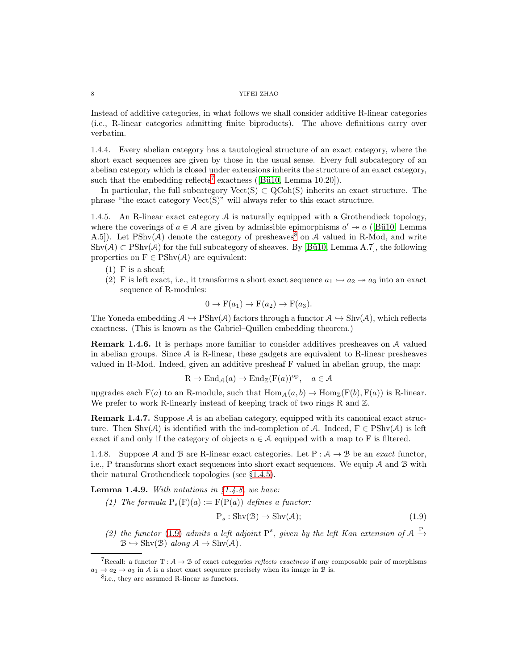Instead of additive categories, in what follows we shall consider additive R-linear categories (i.e., R-linear categories admitting finite biproducts). The above definitions carry over verbatim.

1.4.4. Every abelian category has a tautological structure of an exact category, where the short exact sequences are given by those in the usual sense. Every full subcategory of an abelian category which is closed under extensions inherits the structure of an exact category, such that the embedding reflects<sup>[7](#page-7-0)</sup> exactness ([Bü10, Lemma 10.20]).

In particular, the full subcategory  $Vect(S) \subset QCoh(S)$  inherits an exact structure. The phrase "the exact category Vect(S)" will always refer to this exact structure.

<span id="page-7-2"></span>1.4.5. An R-linear exact category  $A$  is naturally equipped with a Grothendieck topology, where the coverings of  $a \in \mathcal{A}$  are given by admissible epimorphisms  $a' \rightarrow a$  ([Bü10, Lemma A.5]). Let  $\text{PShv}(\mathcal{A})$  denote the category of presheaves<sup>[8](#page-7-1)</sup> on  $\mathcal{A}$  valued in R-Mod, and write  $\text{Shv}(\mathcal{A}) \subset \text{PShv}(\mathcal{A})$  for the full subcategory of sheaves. By [Bü10, Lemma A.7], the following properties on  $F \in \mathrm{PShv}(\mathcal{A})$  are equivalent:

- $(1)$  F is a sheaf;
- (2) F is left exact, i.e., it transforms a short exact sequence  $a_1 \rightarrow a_2 \rightarrow a_3$  into an exact sequence of R-modules:

$$
0 \to F(a_1) \to F(a_2) \to F(a_3).
$$

The Yoneda embedding  $A \hookrightarrow \text{PShv}(A)$  factors through a functor  $A \hookrightarrow \text{Shv}(A)$ , which reflects exactness. (This is known as the Gabriel–Quillen embedding theorem.)

Remark 1.4.6. It is perhaps more familiar to consider additives presheaves on A valued in abelian groups. Since  $A$  is R-linear, these gadgets are equivalent to R-linear presheaves valued in R-Mod. Indeed, given an additive presheaf F valued in abelian group, the map:

$$
R \to \text{End}_{\mathcal{A}}(a) \to \text{End}_{\mathbb{Z}}(F(a))^{\text{op}}, \quad a \in \mathcal{A}
$$

upgrades each  $F(a)$  to an R-module, such that  $Hom_{A}(a, b) \to Hom_{\mathbb{Z}}(F(b), F(a))$  is R-linear. We prefer to work R-linearly instead of keeping track of two rings R and  $\mathbb{Z}$ .

**Remark 1.4.7.** Suppose  $A$  is an abelian category, equipped with its canonical exact structure. Then Shv(A) is identified with the ind-completion of A. Indeed,  $F \in \mathrm{PShv}(\mathcal{A})$  is left exact if and only if the category of objects  $a \in \mathcal{A}$  equipped with a map to F is filtered.

<span id="page-7-3"></span>1.4.8. Suppose A and B are R-linear exact categories. Let  $P : A \rightarrow B$  be an exact functor, i.e., P transforms short exact sequences into short exact sequences. We equip A and B with their natural Grothendieck topologies (see §[1.4.5\)](#page-7-2).

<span id="page-7-5"></span>**Lemma 1.4.9.** With notations in  $$1.4.8$ , we have:

(1) The formula  $P_s(F)(a) := F(P(a))$  defines a functor:

<span id="page-7-4"></span>
$$
P_s: \text{Shv}(\mathcal{B}) \to \text{Shv}(\mathcal{A});\tag{1.9}
$$

(2) the functor [\(1.9\)](#page-7-4) admits a left adjoint  $P^s$ , given by the left Kan extension of  $A \stackrel{P}{\rightarrow}$  $\mathcal{B} \hookrightarrow \text{Shv}(\mathcal{B})$  along  $\mathcal{A} \to \text{Shv}(\mathcal{A})$ .

<sup>&</sup>lt;sup>7</sup>Recall: a functor T :  $A \rightarrow B$  of exact categories *reflects exactness* if any composable pair of morphisms  $a_1 \rightarrow a_2 \rightarrow a_3$  in A is a short exact sequence precisely when its image in B is.

<span id="page-7-1"></span><span id="page-7-0"></span><sup>8</sup> i.e., they are assumed R-linear as functors.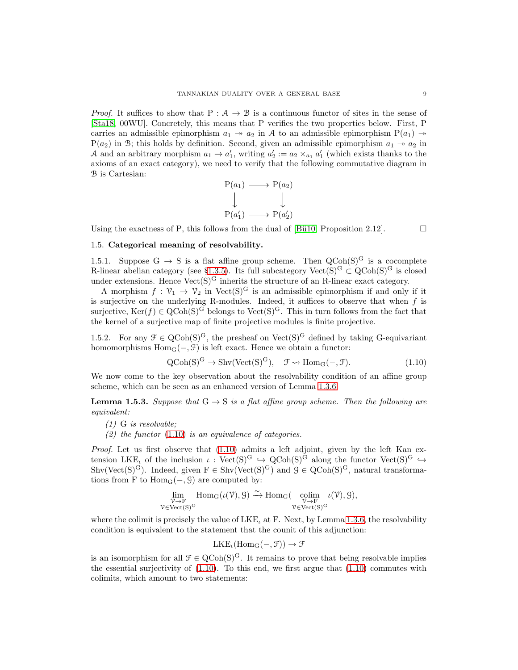*Proof.* It suffices to show that  $P: A \rightarrow B$  is a continuous functor of sites in the sense of [\[Sta18,](#page-23-15) 00WU]. Concretely, this means that P verifies the two properties below. First, P carries an admissible epimorphism  $a_1 \rightarrow a_2$  in A to an admissible epimorphism  $P(a_1) \rightarrow$  $P(a_2)$  in B; this holds by definition. Second, given an admissible epimorphism  $a_1 \rightarrow a_2$  in A and an arbitrary morphism  $a_1 \to a'_1$ , writing  $a'_2 := a_2 \times_{a_1} a'_1$  (which exists thanks to the axioms of an exact category), we need to verify that the following commutative diagram in B is Cartesian:

$$
\begin{array}{ccc}\nP(a_1) & \longrightarrow P(a_2) \\
\downarrow & & \downarrow \\
P(a'_1) & \longrightarrow P(a'_2)\n\end{array}
$$

Using the exactness of P, this follows from the dual of [Bü10, Proposition 2.12].

## <span id="page-8-1"></span>1.5. Categorical meaning of resolvability.

1.5.1. Suppose  $G \rightarrow S$  is a flat affine group scheme. Then  $QCoh(S)^G$  is a cocomplete R-linear abelian category (see §[1.3.5\)](#page-5-6). Its full subcategory  $Vect(S)^G \subset QCoh(S)^G$  is closed under extensions. Hence  $Vect(S)^G$  inherits the structure of an R-linear exact category.

A morphism  $f: \mathcal{V}_1 \to \mathcal{V}_2$  in Vect(S)<sup>G</sup> is an admissible epimorphism if and only if it is surjective on the underlying R-modules. Indeed, it suffices to observe that when  $f$  is surjective,  $\text{Ker}(f) \in \text{QCoh}(S)^G$  belongs to  $\text{Vect}(S)^G$ . This in turn follows from the fact that the kernel of a surjective map of finite projective modules is finite projective.

1.5.2. For any  $\mathcal{F} \in \text{QCoh}(S)^G$ , the presheaf on Vect $(S)^G$  defined by taking G-equivariant homomorphisms  $Hom_G(-, \mathcal{F})$  is left exact. Hence we obtain a functor:

<span id="page-8-0"></span>
$$
QCoh(S)^G \to Shv(Vect(S)^G), \quad \mathcal{F} \rightsquigarrow Hom_G(-, \mathcal{F}).
$$
\n(1.10)

We now come to the key observation about the resolvability condition of an affine group scheme, which can be seen as an enhanced version of Lemma [1.3.6.](#page-5-5)

<span id="page-8-2"></span>**Lemma 1.5.3.** Suppose that  $G \rightarrow S$  is a flat affine group scheme. Then the following are equivalent:

- (1) G is resolvable;
- (2) the functor  $(1.10)$  is an equivalence of categories.

Proof. Let us first observe that  $(1.10)$  admits a left adjoint, given by the left Kan extension LKE<sub>l</sub> of the inclusion  $\iota : \text{Vect}(S)^G \hookrightarrow \text{QCoh}(S)^{\tilde{G}}$  along the functor  $\text{Vect}(S)^G \hookrightarrow$  $\text{Shv}(\text{Vect}(S)^G)$ . Indeed, given  $F \in \text{Shv}(\text{Vect}(S)^G)$  and  $\mathcal{G} \in \text{QCoh}(S)^G$ , natural transformations from F to  $Hom_G(-, G)$  are computed by:

$$
\lim_{\substack{\mathcal{V}\to F\\ \mathcal{V}\in \text{Vect}(S)^G}} \text{Hom}_G(\iota(\mathcal{V}), \mathcal{G}) \xrightarrow{\sim} \text{Hom}_G(\underset{\substack{\mathcal{V}\to F\\ \mathcal{V}\in \text{Vect}(S)^G}}{\text{cdim}} \iota(\mathcal{V}), \mathcal{G}),
$$

where the colimit is precisely the value of  $LKE<sub>t</sub>$  at F. Next, by Lemma [1.3.6,](#page-5-5) the resolvability condition is equivalent to the statement that the counit of this adjunction:

$$
LKE_{\iota}(\mathrm{Hom}_{G}(-, \mathcal{F})) \to \mathcal{F}
$$

is an isomorphism for all  $\mathcal{F} \in \text{QCoh}(S)^G$ . It remains to prove that being resolvable implies the essential surjectivity of  $(1.10)$ . To this end, we first argue that  $(1.10)$  commutes with colimits, which amount to two statements: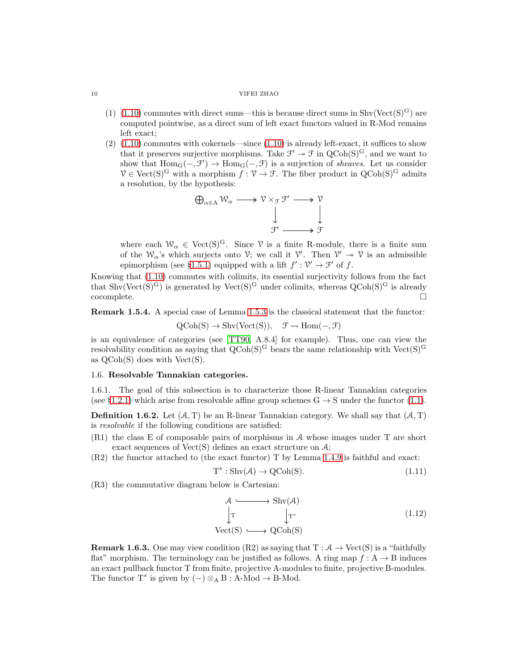- (1) [\(1.10\)](#page-8-0) commutes with direct sums—this is because direct sums in  $\text{Shv}(\text{Vect}(S)^G)$  are computed pointwise, as a direct sum of left exact functors valued in R-Mod remains left exact;
- $(2)$   $(1.10)$  commutes with cokernels—since  $(1.10)$  is already left-exact, it suffices to show that it preserves surjective morphisms. Take  $\mathcal{F}' \to \mathcal{F}$  in  $Q\text{Coh}(S)^G$ , and we want to show that  $Hom_G(-, \mathcal{F}') \to Hom_G(-, \mathcal{F})$  is a surjection of *sheaves*. Let us consider  $V \in \text{Vect}(S)^G$  with a morphism  $\hat{f}: V \to \mathcal{F}$ . The fiber product in  $\text{QCoh}(S)^G$  admits a resolution, by the hypothesis:



where each  $W_{\alpha} \in \text{Vect}(S)^G$ . Since  $\gamma$  is a finite R-module, there is a finite sum of the  $W_{\alpha}$ 's which surjects onto  $V$ ; we call it  $V'$ . Then  $V' \rightarrow V$  is an admissible epimorphism (see §[1.5.1\)](#page-8-1) equipped with a lift  $f': \mathcal{V}' \to \mathcal{F}'$  of f.

Knowing that [\(1.10\)](#page-8-0) commutes with colimits, its essential surjectivity follows from the fact that  $\text{Shv}(\text{Vect}(S)^G)$  is generated by  $\text{Vect}(S)^G$  under colimits, whereas  $\text{QCoh}(S)^G$  is already cocomplete. □

Remark 1.5.4. A special case of Lemma [1.5.3](#page-8-2) is the classical statement that the functor:

$$
QCoh(S) \to Shv(Vect(S)), \quad \mathcal{F} \rightsquigarrow Hom(-, \mathcal{F})
$$

is an equivalence of categories (see [\[TT90,](#page-24-1) A.8.4] for example). Thus, one can view the resolvability condition as saying that  $Q\text{Coh}(S)^G$  bears the same relationship with Vect $(S)^G$ as  $QCoh(S)$  does with  $Vect(S)$ .

## <span id="page-9-1"></span>1.6. Resolvable Tannakian categories.

1.6.1. The goal of this subsection is to characterize those R-linear Tannakian categories (see §[1.2.1\)](#page-3-4) which arise from resolvable affine group schemes  $G \rightarrow S$  under the functor [\(1.1\)](#page-4-0).

<span id="page-9-0"></span>**Definition 1.6.2.** Let  $(A, T)$  be an R-linear Tannakian category. We shall say that  $(A, T)$ is resolvable if the following conditions are satisfied:

- (R1) the class E of composable pairs of morphisms in A whose images under T are short exact sequences of  $Vect(S)$  defines an exact structure on  $A$ ;
- (R2) the functor attached to (the exact functor) T by Lemma [1.4.9](#page-7-5) is faithful and exact:

$$
T^s: Shv(\mathcal{A}) \to QCoh(S). \tag{1.11}
$$

(R3) the commutative diagram below is Cartesian:

$$
\begin{array}{ccc}\n\mathcal{A} & \longrightarrow & \text{Shv}(\mathcal{A}) \\
\downarrow^{\text{T}} & & \downarrow^{\text{T}^s} \\
\text{Vect(S)} & \longrightarrow & \text{QCoh(S)}\n\end{array} \tag{1.12}
$$

**Remark 1.6.3.** One may view condition (R2) as saying that  $T : A \rightarrow Vect(S)$  is a "faithfully flat" morphism. The terminology can be justified as follows. A ring map  $f : A \rightarrow B$  induces an exact pullback functor T from finite, projective A-modules to finite, projective B-modules. The functor  $T^s$  is given by  $(-) \otimes_A B : A$ -Mod  $\rightarrow B$ -Mod.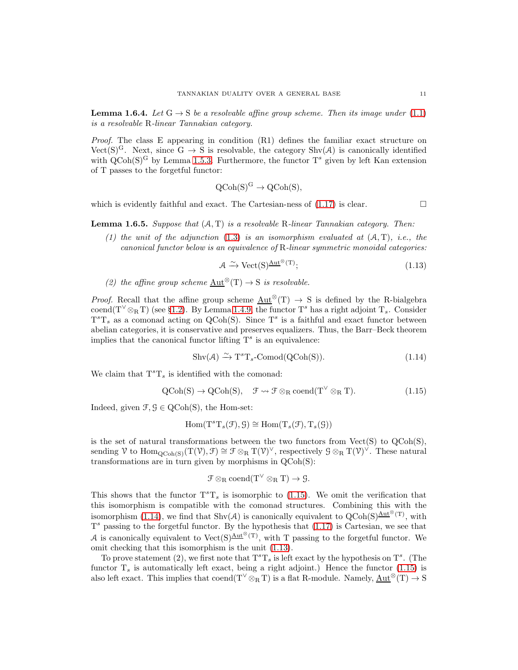<span id="page-10-3"></span>**Lemma 1.6.4.** Let  $G \rightarrow S$  be a resolvable affine group scheme. Then its image under [\(1.1\)](#page-4-0) is a resolvable R-linear Tannakian category.

*Proof.* The class E appearing in condition  $(R1)$  defines the familiar exact structure on Vect(S)<sup>G</sup>. Next, since G  $\rightarrow$  S is resolvable, the category Shv(A) is canonically identified with  $Q\text{Coh}(S)^G$  by Lemma [1.5.3.](#page-8-2) Furthermore, the functor  $T^s$  given by left Kan extension of T passes to the forgetful functor:

$$
Q\text{Coh}(S)^G \to Q\text{Coh}(S),
$$

which is evidently faithful and exact. The Cartesian-ness of  $(1.17)$  is clear.

<span id="page-10-4"></span>**Lemma 1.6.5.** Suppose that  $(A, T)$  is a resolvable R-linear Tannakian category. Then:

(1) the unit of the adjunction  $(1.3)$  is an isomorphism evaluated at  $(A, T)$ , i.e., the canonical functor below is an equivalence of R-linear symmetric monoidal categories:

<span id="page-10-2"></span>
$$
\mathcal{A} \xrightarrow{\sim} \text{Vect}(\mathbf{S})^{\underline{\text{Aut}}^{\otimes}(\mathbf{T})};\tag{1.13}
$$

(2) the affine group scheme  $Aut^{\otimes}(T) \rightarrow S$  is resolvable.

*Proof.* Recall that the affine group scheme  $\text{Aut}^{\otimes}(T) \rightarrow S$  is defined by the R-bialgebra coend(T<sup> $\vee$ </sup>  $\otimes$ RT) (see §[1.2\)](#page-3-5). By Lemma [1.4.9,](#page-7-5) the functor T<sup>s</sup> has a right adjoint T<sub>s</sub>. Consider  $T^{s}T_{s}$  as a comonad acting on QCoh(S). Since  $T^{s}$  is a faithful and exact functor between abelian categories, it is conservative and preserves equalizers. Thus, the Barr–Beck theorem implies that the canonical functor lifting  $T<sup>s</sup>$  is an equivalence:

<span id="page-10-1"></span>
$$
Shv(\mathcal{A}) \xrightarrow{\sim} T^s T_s \text{-Comod}(QCoh(S)). \tag{1.14}
$$

We claim that  $T^sT_s$  is identified with the comonad:

<span id="page-10-0"></span>
$$
QCoh(S) \to QCoh(S), \quad \mathcal{F} \rightsquigarrow \mathcal{F} \otimes_R \text{coend}(T^{\vee} \otimes_R T). \tag{1.15}
$$

Indeed, given  $\mathcal{F}, \mathcal{G} \in \text{QCoh}(S)$ , the Hom-set:

$$
\operatorname{Hom}(\mathrm{T}^s \mathrm{T}_s(\mathcal{F}), \mathcal{G}) \cong \operatorname{Hom}(\mathrm{T}_s(\mathcal{F}), \mathrm{T}_s(\mathcal{G}))
$$

is the set of natural transformations between the two functors from  $Vect(S)$  to  $QCoh(S)$ , sending V to  $\text{Hom}_{\text{QCoh}(S)}(\text{T}(\mathcal{V}), \mathcal{F}) \cong \mathcal{F} \otimes_{\text{R}} \text{T}(\mathcal{V})^{\vee}$ , respectively  $\mathcal{G} \otimes_{\text{R}} \text{T}(\mathcal{V})^{\vee}$ . These natural transformations are in turn given by morphisms in QCoh(S):

$$
\mathcal{F} \otimes_R \text{coend}(T^\vee \otimes_R T) \to \mathcal{G}.
$$

This shows that the functor  $T^{s}T_{s}$  is isomorphic to [\(1.15\)](#page-10-0). We omit the verification that this isomorphism is compatible with the comonad structures. Combining this with the isomorphism [\(1.14\)](#page-10-1), we find that Shv(A) is canonically equivalent to  $Q\text{Coh}(S)^{\underline{\text{Aut}}^{\otimes}(T)}$ , with  $T<sup>s</sup>$  passing to the forgetful functor. By the hypothesis that  $(1.17)$  is Cartesian, we see that A is canonically equivalent to Vect(S) $\frac{\text{Aut}^{\otimes}(\text{T})}{\text{T}}$ , with T passing to the forgetful functor. We omit checking that this isomorphism is the unit [\(1.13\)](#page-10-2).

To prove statement (2), we first note that  $T^sT_s$  is left exact by the hypothesis on  $T^s$ . (The functor  $T<sub>s</sub>$  is automatically left exact, being a right adjoint.) Hence the functor [\(1.15\)](#page-10-0) is also left exact. This implies that  $\mathrm{coend}(T^{\vee} \otimes_R T)$  is a flat R-module. Namely,  $\mathrm{Aut}^{\otimes}(T) \to S$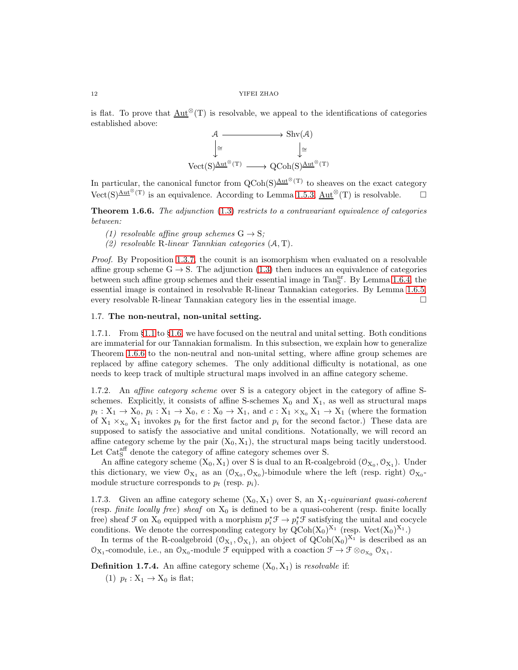is flat. To prove that  $Aut^{\otimes}(T)$  is resolvable, we appeal to the identifications of categories established above:



In particular, the canonical functor from  $Q\text{Coh}(S)\frac{\text{Aut}^{\otimes}(T)}{\text{Aut}}$  to sheaves on the exact category Vect(S) $\frac{\text{Aut}^{\otimes}(T)}{\text{Vect}}$  is an equivalence. According to Lemma [1.5.3,](#page-8-2)  $\underline{\text{Aut}}^{\otimes}(T)$  is resolvable.

<span id="page-11-0"></span>**Theorem 1.6.6.** The adjunction  $(1.3)$  restricts to a contravariant equivalence of categories between:

- (1) resolvable affine group schemes  $G \rightarrow S$ ;
- (2) resolvable R-linear Tannkian categories (A, T).

Proof. By Proposition [1.3.7,](#page-6-0) the counit is an isomorphism when evaluated on a resolvable affine group scheme  $G \rightarrow S$ . The adjunction [\(1.3\)](#page-4-2) then induces an equivalence of categories between such affine group schemes and their essential image in Tan<sub>n</sub><sup>n</sup>. By Lemma [1.6.4,](#page-10-3) the essential image is contained in resolvable R-linear Tannakian categories. By Lemma [1.6.5,](#page-10-4) every resolvable R-linear Tannakian category lies in the essential image.  $\Box$ 

## <span id="page-11-1"></span>1.7. The non-neutral, non-unital setting.

1.7.1. From §[1.1](#page-3-6) to §[1.6,](#page-9-1) we have focused on the neutral and unital setting. Both conditions are immaterial for our Tannakian formalism. In this subsection, we explain how to generalize Theorem [1.6.6](#page-11-0) to the non-neutral and non-unital setting, where affine group schemes are replaced by affine category schemes. The only additional difficulty is notational, as one needs to keep track of multiple structural maps involved in an affine category scheme.

1.7.2. An affine category scheme over S is a category object in the category of affine Sschemes. Explicitly, it consists of affine S-schemes  $X_0$  and  $X_1$ , as well as structural maps  $p_t: X_1 \to X_0, p_i: X_1 \to X_0, e: X_0 \to X_1,$  and  $c: X_1 \times_{X_0} X_1 \to X_1$  (where the formation of  $X_1 \times_{X_0} X_1$  invokes  $p_t$  for the first factor and  $p_i$  for the second factor.) These data are supposed to satisfy the associative and unital conditions. Notationally, we will record an affine category scheme by the pair  $(X_0, X_1)$ , the structural maps being tacitly understood. Let  $\text{Cat}_{\text{S}}^{\text{aff}}$  denote the category of affine category schemes over S.

An affine category scheme  $(X_0, X_1)$  over S is dual to an R-coalgebroid  $(\mathcal{O}_{X_0}, \mathcal{O}_{X_1})$ . Under this dictionary, we view  $\mathcal{O}_{X_1}$  as an  $(\mathcal{O}_{X_0}, \mathcal{O}_{X_0})$ -bimodule where the left (resp. right)  $\mathcal{O}_{X_0}$ module structure corresponds to  $p_t$  (resp.  $p_i$ ).

1.7.3. Given an affine category scheme  $(X_0, X_1)$  over S, an  $X_1$ -equivariant quasi-coherent (resp. finite locally free) sheaf on  $X_0$  is defined to be a quasi-coherent (resp. finite locally free) sheaf  $\mathcal F$  on  $X_0$  equipped with a morphism  $p_i^* \mathcal F \to p_t^* \mathcal F$  satisfying the unital and cocycle conditions. We denote the corresponding category by  $QCoh(X_0)^{X_1}$  (resp.  $Vect(X_0)^{X_1}$ .)

In terms of the R-coalgebroid  $(\mathcal{O}_{X_1}, \mathcal{O}_{X_1})$ , an object of  $QCoh(X_0)^{X_1}$  is described as an  $\mathcal{O}_{X_1}$ -comodule, i.e., an  $\mathcal{O}_{X_0}$ -module  $\mathcal F$  equipped with a coaction  $\mathcal F \to \mathcal F \otimes_{\mathcal{O}_{X_0}} \mathcal{O}_{X_1}$ .

**Definition 1.7.4.** An affine category scheme  $(X_0, X_1)$  is *resolvable* if:

(1)  $p_t: X_1 \rightarrow X_0$  is flat;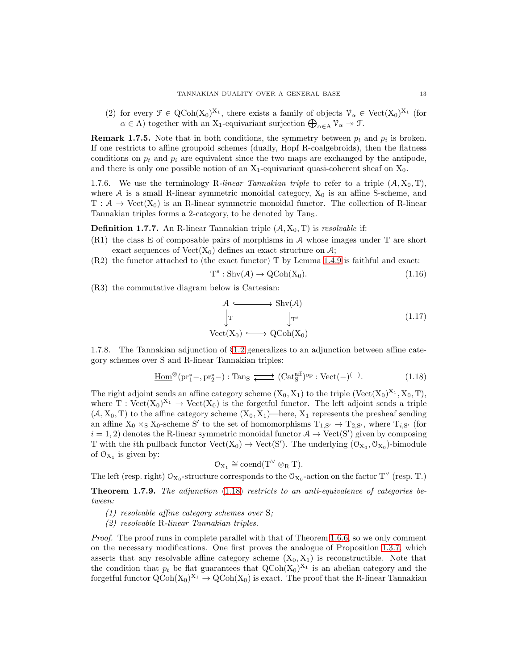(2) for every  $\mathcal{F} \in \text{QCoh}(X_0)^{X_1}$ , there exists a family of objects  $\mathcal{V}_{\alpha} \in \text{Vect}(X_0)^{X_1}$  (for  $\alpha \in A$ ) together with an X<sub>1</sub>-equivariant surjection  $\bigoplus_{\alpha \in A} \mathcal{V}_{\alpha} \to \mathcal{F}$ .

**Remark 1.7.5.** Note that in both conditions, the symmetry between  $p_t$  and  $p_i$  is broken. If one restricts to affine groupoid schemes (dually, Hopf R-coalgebroids), then the flatness conditions on  $p_t$  and  $p_i$  are equivalent since the two maps are exchanged by the antipode, and there is only one possible notion of an  $X_1$ -equivariant quasi-coherent sheaf on  $X_0$ .

1.7.6. We use the terminology R-linear Tannakian triple to refer to a triple  $(A, X_0, T)$ , where A is a small R-linear symmetric monoidal category,  $X_0$  is an affine S-scheme, and  $T: \mathcal{A} \to \text{Vect}(X_0)$  is an R-linear symmetric monoidal functor. The collection of R-linear Tannakian triples forms a 2-category, to be denoted by Tans.

**Definition 1.7.7.** An R-linear Tannakian triple  $(A, X_0, T)$  is *resolvable* if:

- (R1) the class E of composable pairs of morphisms in A whose images under T are short exact sequences of  $Vect(X_0)$  defines an exact structure on A;
- (R2) the functor attached to (the exact functor) T by Lemma [1.4.9](#page-7-5) is faithful and exact:

$$
T^s: Shv(\mathcal{A}) \to QCoh(X_0). \tag{1.16}
$$

(R3) the commutative diagram below is Cartesian:

<span id="page-12-1"></span>
$$
\begin{array}{ccc}\n\mathcal{A} & \longrightarrow & \text{Shv}(\mathcal{A}) \\
\downarrow & & \downarrow_{\text{T}^s} \\
\text{Vect}(X_0) & \longrightarrow & \text{QCoh}(X_0)\n\end{array} \tag{1.17}
$$

1.7.8. The Tannakian adjunction of §[1.2](#page-3-5) generalizes to an adjunction between affine category schemes over S and R-linear Tannakian triples:

<span id="page-12-2"></span>
$$
\underline{\text{Hom}}^{\otimes}(\text{pr}_1^*-, \text{pr}_2^*) : \text{Tan}_S \xrightarrow{\longrightarrow} (\text{Cat}_S^{\text{aff}})^{\text{op}} : \text{Vect}(-)^{(-)}.
$$
 (1.18)

The right adjoint sends an affine category scheme  $(X_0, X_1)$  to the triple  $(\text{Vect}(X_0)^{X_1}, X_0, T)$ , where T :  $Vect(X_0)^{X_1} \to Vect(X_0)$  is the forgetful functor. The left adjoint sends a triple  $(A, X_0, T)$  to the affine category scheme  $(X_0, X_1)$ —here,  $X_1$  represents the presheaf sending an affine  $X_0 \times_S X_0$ -scheme S' to the set of homomorphisms  $T_{1,S'} \to T_{2,S'}$ , where  $T_{i,S'}$  (for  $i = 1, 2$  denotes the R-linear symmetric monoidal functor  $A \rightarrow \text{Vect}(S')$  given by composing T with the *i*th pullback functor  $Vect(X_0) \to Vect(S')$ . The underlying  $(\mathcal{O}_{X_0}, \mathcal{O}_{X_0})$ -bimodule of  $O_{X_1}$  is given by:

$$
\mathcal{O}_{X_1}\cong \mathrm{coend}(T^\vee\otimes_R T).
$$

The left (resp. right)  $\mathcal{O}_{X_0}$ -structure corresponds to the  $\mathcal{O}_{X_0}$ -action on the factor T<sup> $\vee$ </sup> (resp. T.)

<span id="page-12-0"></span>**Theorem 1.7.9.** The adjunction  $(1.18)$  restricts to an anti-equivalence of categories between:

- (1) resolvable affine category schemes over S;
- (2) resolvable R-linear Tannakian triples.

Proof. The proof runs in complete parallel with that of Theorem [1.6.6,](#page-11-0) so we only comment on the necessary modifications. One first proves the analogue of Proposition [1.3.7,](#page-6-0) which asserts that any resolvable affine category scheme  $(X_0, X_1)$  is reconstructible. Note that the condition that  $p_t$  be flat guarantees that  $Q\text{Coh}(X_0)^{X_1}$  is an abelian category and the forgetful functor  $Q\text{Coh}(X_0)^{X_1} \to Q\text{Coh}(X_0)$  is exact. The proof that the R-linear Tannakian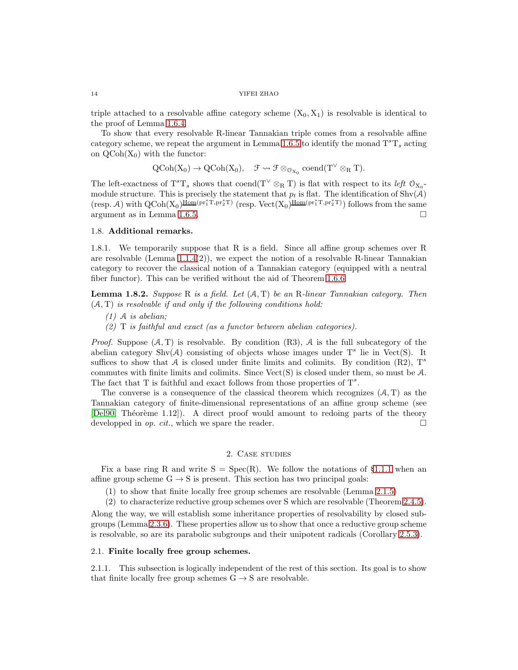triple attached to a resolvable affine category scheme  $(X_0, X_1)$  is resolvable is identical to the proof of Lemma [1.6.4.](#page-10-3)

To show that every resolvable R-linear Tannakian triple comes from a resolvable affine category scheme, we repeat the argument in Lemma [1.6.5](#page-10-4) to identify the monad  $T^{s}T_{s}$  acting on  $QCoh(X_0)$  with the functor:

$$
\mathrm{QCoh}(X_0) \to \mathrm{QCoh}(X_0), \quad \mathfrak{F} \rightsquigarrow \mathfrak{F} \otimes_{\mathfrak{O}_{X_0}} \mathrm{coend}(T^\vee \otimes_R T).
$$

The left-exactness of  $T^sT_s$  shows that coend( $T^{\vee} \otimes_R T$ ) is flat with respect to its *left*  $\mathcal{O}_{X_0}$ module structure. This is precisely the statement that  $p_t$  is flat. The identification of Shv(A) (resp. A) with  $QCoh(X_0)$ <sup> $\underline{\text{Hom}}(pr_1^*T, pr_2^*T)$  (resp.  $Vect(X_0)$ <sup> $\underline{\text{Hom}}(pr_1^*T, pr_2^*T)$ ) follows from the same</sup></sup> argument as in Lemma [1.6.5.](#page-10-4)

#### 1.8. Additional remarks.

1.8.1. We temporarily suppose that R is a field. Since all affine group schemes over R are resolvable (Lemma  $1.1.4(2)$ ), we expect the notion of a resolvable R-linear Tannakian category to recover the classical notion of a Tannakian category (equipped with a neutral fiber functor). This can be verified without the aid of Theorem [1.6.6.](#page-11-0)

**Lemma 1.8.2.** Suppose R is a field. Let  $(A, T)$  be an R-linear Tannakian category. Then  $(A, T)$  is resolvable if and only if the following conditions hold:

- $(1)$  A is abelian;
- $(2)$  T is faithful and exact (as a functor between abelian categories).

*Proof.* Suppose  $(A, T)$  is resolvable. By condition  $(R3)$ , A is the full subcategory of the abelian category Shv $(A)$  consisting of objects whose images under  $T<sup>s</sup>$  lie in Vect(S). It suffices to show that A is closed under finite limits and colimits. By condition (R2),  $T^s$ commutes with finite limits and colimits. Since  $Vect(S)$  is closed under them, so must be  $A$ . The fact that T is faithful and exact follows from those properties of  $T^s$ .

The converse is a consequence of the classical theorem which recognizes  $(A, T)$  as the Tannakian category of finite-dimensional representations of an affine group scheme (see [\[Del90,](#page-23-3) Théorème 1.12]). A direct proof would amount to redoing parts of the theory developped in *op. cit.*, which we spare the reader.  $\Box$ 

### 2. Case studies

<span id="page-13-0"></span>Fix a base ring R and write  $S = Spec(R)$ . We follow the notations of §[1.1.1](#page-3-8) when an affine group scheme  $G \rightarrow S$  is present. This section has two principal goals:

(1) to show that finite locally free group schemes are resolvable (Lemma [2.1.5\)](#page-14-0)

(2) to characterize reductive group schemes over S which are resolvable (Theorem [2.4.5\)](#page-17-0). Along the way, we will establish some inheritance properties of resolvability by closed subgroups (Lemma [2.3.6\)](#page-16-0). These properties allow us to show that once a reductive group scheme is resolvable, so are its parabolic subgroups and their unipotent radicals (Corollary [2.5.3\)](#page-18-1).

#### 2.1. Finite locally free group schemes.

2.1.1. This subsection is logically independent of the rest of this section. Its goal is to show that finite locally free group schemes  $G \rightarrow S$  are resolvable.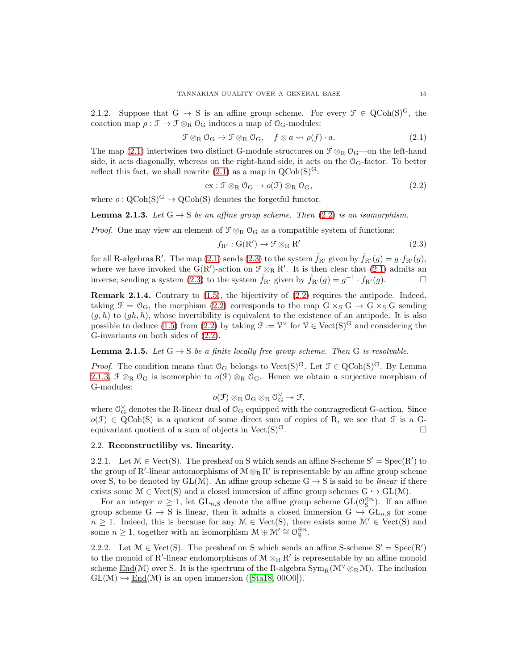2.1.2. Suppose that G  $\rightarrow$  S is an affine group scheme. For every  $\mathcal{F} \in \text{QCoh}(S)^G$ , the coaction map  $\rho : \mathcal{F} \to \mathcal{F} \otimes_R \mathcal{O}_G$  induces a map of  $\mathcal{O}_G$ -modules:

<span id="page-14-1"></span>
$$
\mathcal{F} \otimes_{R} \mathcal{O}_{G} \to \mathcal{F} \otimes_{R} \mathcal{O}_{G}, \quad f \otimes a \leadsto \rho(f) \cdot a. \tag{2.1}
$$

The map [\(2.1\)](#page-14-1) intertwines two distinct G-module structures on  $\mathcal{F} \otimes_R \mathcal{O}_G$ —on the left-hand side, it acts diagonally, whereas on the right-hand side, it acts on the  $\mathcal{O}_G$ -factor. To better reflect this fact, we shall rewrite  $(2.1)$  as a map in  $QCoh(S)^G$ :

<span id="page-14-2"></span>
$$
ex: \mathcal{F} \otimes_{R} \mathcal{O}_{G} \to o(\mathcal{F}) \otimes_{R} \mathcal{O}_{G}, \qquad (2.2)
$$

where  $o: \mathrm{QCoh}(S)^G \to \mathrm{QCoh}(S)$  denotes the forgetful functor.

<span id="page-14-4"></span>**Lemma 2.1.3.** Let  $G \rightarrow S$  be an affine group scheme. Then [\(2.2\)](#page-14-2) is an isomorphism.

*Proof.* One may view an element of  $\mathcal{F} \otimes_R \mathcal{O}_G$  as a compatible system of functions:

<span id="page-14-3"></span>
$$
f_{R'} : G(R') \to \mathcal{F} \otimes_R R' \tag{2.3}
$$

for all R-algebras R'. The map  $(2.1)$  sends  $(2.3)$  to the system  $\tilde{f}_{R'}$  given by  $\tilde{f}_{R'}(g) = g \cdot f_{R'}(g)$ , where we have invoked the  $G(R')$ -action on  $\mathcal{F} \otimes_R R'$ . It is then clear that [\(2.1\)](#page-14-1) admits an inverse, sending a system [\(2.3\)](#page-14-3) to the system  $\tilde{f}_{R'}$  given by  $\tilde{f}_{R'}(g) = g^{-1} \cdot f_{R'}(g)$ .

**Remark 2.1.4.** Contrary to  $(1.5)$ , the bijectivity of  $(2.2)$  requires the antipode. Indeed, taking  $\mathcal{F} = \mathcal{O}_G$ , the morphism [\(2.2\)](#page-14-2) corresponds to the map  $G \times_S G \to G \times_S G$  sending  $(g, h)$  to  $(gh, h)$ , whose invertibility is equivalent to the existence of an antipode. It is also possible to deduce [\(1.5\)](#page-5-0) from [\(2.2\)](#page-14-2) by taking  $\mathcal{F} := \mathcal{V}^{\vee}$  for  $\mathcal{V} \in \text{Vect}(S)^G$  and considering the G-invariants on both sides of [\(2.2\)](#page-14-2).

<span id="page-14-0"></span>**Lemma 2.1.5.** Let  $G \rightarrow S$  be a finite locally free group scheme. Then G is resolvable.

*Proof.* The condition means that  $O_G$  belongs to Vect(S)<sup>G</sup>. Let  $\mathcal{F} \in \text{QCoh}(S)^G$ . By Lemma [2.1.3,](#page-14-4)  $\mathcal{F} \otimes_R \mathcal{O}_G$  is isomorphic to  $o(\mathcal{F}) \otimes_R \mathcal{O}_G$ . Hence we obtain a surjective morphism of G-modules:

$$
\mathit{o}(\mathcal{F})\otimes_R\mathcal{O}_G\otimes_R\mathcal{O}_G^{\vee}\twoheadrightarrow\mathcal{F},
$$

where  $\mathcal{O}_G^{\vee}$  denotes the R-linear dual of  $\mathcal{O}_G$  equipped with the contragredient G-action. Since  $o(\mathcal{F}) \in \text{QCoh}(S)$  is a quotient of some direct sum of copies of R, we see that  $\mathcal{F}$  is a Gequivariant quotient of a sum of objects in Vect(S)<sup>G</sup>.  $\Box$ 

## 2.2. Reconstructiliby vs. linearity.

2.2.1. Let  $\mathcal{M} \in \text{Vect}(S)$ . The presheaf on S which sends an affine S-scheme  $S' = \text{Spec}(R')$  to the group of R'-linear automorphisms of  $\mathcal{M} \otimes_R R'$  is representable by an affine group scheme over S, to be denoted by  $GL(\mathcal{M})$ . An affine group scheme  $G \to S$  is said to be *linear* if there exists some  $\mathcal{M} \in \text{Vect}(S)$  and a closed immersion of affine group schemes  $G \hookrightarrow GL(\mathcal{M})$ .

For an integer  $n \geq 1$ , let  $GL_{n,S}$  denote the affine group scheme  $GL(\mathcal{O}_S^{\oplus n})$ . If an affine group scheme G  $\rightarrow$  S is linear, then it admits a closed immersion G  $\rightarrow$  GL<sub>n,S</sub> for some  $n \geq 1$ . Indeed, this is because for any  $\mathcal{M} \in \text{Vect}(S)$ , there exists some  $\mathcal{M}' \in \text{Vect}(S)$  and some  $n \geq 1$ , together with an isomorphism  $\mathcal{M} \oplus \mathcal{M}' \cong \mathcal{O}_{\mathcal{S}}^{\oplus n}$ .

2.2.2. Let  $\mathcal{M} \in \text{Vect}(S)$ . The presheaf on S which sends an affine S-scheme  $S' = \text{Spec}(R')$ to the monoid of R'-linear endomorphisms of  $M \otimes_R R'$  is representable by an affine monoid scheme  $\underline{End}(\mathcal{M})$  over S. It is the spectrum of the R-algebra  $\text{Sym}_{R}(\mathcal{M}^{\vee} \otimes_{R} \mathcal{M})$ . The inclusion  $GL(\mathcal{M}) \hookrightarrow \underline{End}(\mathcal{M})$  is an open immersion ([\[Sta18,](#page-23-15) 00O0]).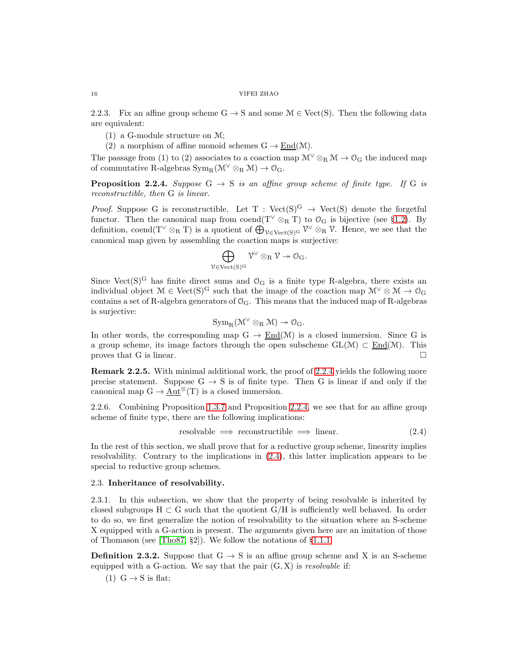2.2.3. Fix an affine group scheme  $G \to S$  and some  $\mathcal{M} \in \text{Vect}(S)$ . Then the following data are equivalent:

- (1) a G-module structure on M;
- (2) a morphism of affine monoid schemes  $G \to \text{End}(\mathcal{M})$ .

The passage from (1) to (2) associates to a coaction map  $\mathcal{M}^{\vee} \otimes_R \mathcal{M} \to \mathcal{O}_G$  the induced map of commutative R-algebras  $\text{Sym}_{\text{R}}(\mathcal{M}^{\vee} \otimes_{\text{R}} \mathcal{M}) \to \mathcal{O}_{\text{G}}$ .

<span id="page-15-0"></span>**Proposition 2.2.4.** Suppose  $G \rightarrow S$  is an affine group scheme of finite type. If G is reconstructible, then G is linear.

*Proof.* Suppose G is reconstructible. Let  $T : Vect(S)^G \rightarrow Vect(S)$  denote the forgetful functor. Then the canonical map from coend(T<sup> $\vee$ </sup>  $\otimes$ R<sup>T</sup>) to  $\mathcal{O}_G$  is bijective (see §[1.2\)](#page-3-5). By definition, coend(T<sup> $\vee$ </sup>  $\otimes$ R T) is a quotient of  $\bigoplus_{\mathcal{V} \in \text{Vect}(S)^G} \mathcal{V}^{\vee} \otimes_R \mathcal{V}$ . Hence, we see that the canonical map given by assembling the coaction maps is surjective:

$$
\bigoplus_{{\mathcal{V}}\in \mathrm{Vect}(S)^G} {\mathcal{V}}^\vee\otimes_R {\mathcal{V}}\twoheadrightarrow {\mathcal{O}}_G.
$$

Since Vect(S)<sup>G</sup> has finite direct sums and  $\mathcal{O}_G$  is a finite type R-algebra, there exists an individual object  $M \in \text{Vect}(S)^G$  such that the image of the coaction map  $\mathcal{M}^{\vee} \otimes \mathcal{M} \to \mathcal{O}_G$ contains a set of R-algebra generators of  $\mathcal{O}_G$ . This means that the induced map of R-algebras is surjective:

$$
\mathrm{Sym}_R(\mathfrak{M}^\vee\otimes_R\mathfrak{M})\twoheadrightarrow\mathfrak{O}_G.
$$

In other words, the corresponding map  $G \to \text{End}(\mathcal{M})$  is a closed immersion. Since G is a group scheme, its image factors through the open subscheme  $GL(\mathcal{M}) \subset End(\mathcal{M})$ . This proves that G is linear.

Remark 2.2.5. With minimal additional work, the proof of [2.2.4](#page-15-0) yields the following more precise statement. Suppose  $G \rightarrow S$  is of finite type. Then G is linear if and only if the canonical map  $G \to \underline{\text{Aut}}^{\otimes}(T)$  is a closed immersion.

2.2.6. Combining Proposition [1.3.7](#page-6-0) and Proposition [2.2.4,](#page-15-0) we see that for an affine group scheme of finite type, there are the following implications:

<span id="page-15-1"></span>
$$
resolvable \implies reconstructible \implies linear. \tag{2.4}
$$

In the rest of this section, we shall prove that for a reductive group scheme, linearity implies resolvability. Contrary to the implications in [\(2.4\)](#page-15-1), this latter implication appears to be special to reductive group schemes.

## 2.3. Inheritance of resolvability.

2.3.1. In this subsection, we show that the property of being resolvable is inherited by closed subgroups  $H \subset G$  such that the quotient  $G/H$  is sufficiently well behaved. In order to do so, we first generalize the notion of resolvability to the situation where an S-scheme X equipped with a G-action is present. The arguments given here are an imitation of those of Thomason (see [\[Tho87,](#page-23-6) §2]). We follow the notations of §[1.1.1.](#page-3-8)

**Definition 2.3.2.** Suppose that  $G \rightarrow S$  is an affine group scheme and X is an S-scheme equipped with a G-action. We say that the pair  $(G, X)$  is *resolvable* if:

(1)  $G \rightarrow S$  is flat;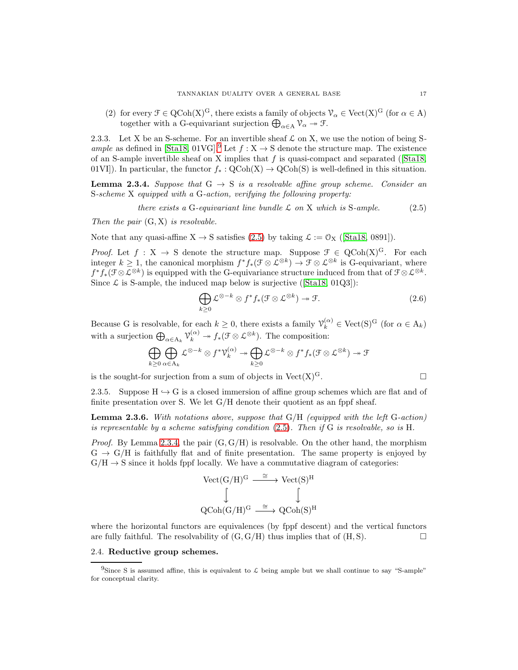(2) for every  $\mathcal{F} \in \mathrm{QCoh}(\mathrm{X})^{\mathrm{G}}$ , there exists a family of objects  $\mathcal{V}_{\alpha} \in \mathrm{Vect}(\mathrm{X})^{\mathrm{G}}$  (for  $\alpha \in \mathrm{A}$ ) together with a G-equivariant surjection  $\bigoplus_{\alpha \in A} \mathcal{V}_{\alpha} \to \mathcal{F}$ .

2.3.3. Let X be an S-scheme. For an invertible sheaf  $\mathcal L$  on X, we use the notion of being S-ample as defined in [\[Sta18,](#page-23-15) 01VG].<sup>[9](#page-16-1)</sup> Let  $f : X \to S$  denote the structure map. The existence of an S-ample invertible sheaf on X implies that  $f$  is quasi-compact and separated ([\[Sta18,](#page-23-15) 01VI]). In particular, the functor  $f_* : \text{QCoh}(X) \to \text{QCoh}(S)$  is well-defined in this situation.

<span id="page-16-3"></span>**Lemma 2.3.4.** Suppose that  $G \rightarrow S$  is a resolvable affine group scheme. Consider an S-scheme X equipped with a G-action, verifying the following property:

<span id="page-16-2"></span>there exists a G-equivariant line bundle 
$$
\mathcal{L}
$$
 on X which is S-ample. (2.5)

Then the pair  $(G, X)$  is resolvable.

Note that any quasi-affine  $X \to S$  satisfies [\(2.5\)](#page-16-2) by taking  $\mathcal{L} := \mathcal{O}_X$  ([\[Sta18,](#page-23-15) 0891]).

*Proof.* Let  $f : X \to S$  denote the structure map. Suppose  $\mathcal{F} \in \text{QCoh}(X)^G$ . For each integer  $k \geq 1$ , the canonical morphism  $f^* f_*(\mathcal{F} \otimes \mathcal{L}^{\otimes k}) \to \mathcal{F} \otimes \mathcal{L}^{\otimes k}$  is G-equivariant, where  $f^*f_*(\mathfrak{F}\otimes \mathcal{L}^{\otimes k})$  is equipped with the G-equivariance structure induced from that of  $\mathfrak{F}\otimes \mathcal{L}^{\otimes k}$ . Since  $\mathcal L$  is S-ample, the induced map below is surjective ([\[Sta18,](#page-23-15) 01Q3]):

$$
\bigoplus_{k\geq 0} \mathcal{L}^{\otimes -k} \otimes f^* f_*(\mathcal{F} \otimes \mathcal{L}^{\otimes k}) \to \mathcal{F}.
$$
 (2.6)

Because G is resolvable, for each  $k \geq 0$ , there exists a family  $\mathcal{V}_k^{(\alpha)} \in \text{Vect}(S)^G$  (for  $\alpha \in A_k$ ) with a surjection  $\bigoplus_{\alpha \in A_k} \mathcal{V}_k^{(\alpha)} \to f_*(\mathcal{F} \otimes \mathcal{L}^{\otimes k})$ . The composition:

$$
\bigoplus_{k\geq 0}\bigoplus_{\alpha\in\mathcal{A}_k}\mathcal{L}^{\otimes -k}\otimes f^*\mathcal{V}_k^{(\alpha)}\twoheadrightarrow \bigoplus_{k\geq 0}\mathcal{L}^{\otimes -k}\otimes f^*f_*(\mathcal{F}\otimes\mathcal{L}^{\otimes k})\twoheadrightarrow \mathcal{F}
$$

is the sought-for surjection from a sum of objects in Vect(X)<sup>G</sup>.

2.3.5. Suppose  $H \hookrightarrow G$  is a closed immersion of affine group schemes which are flat and of finite presentation over S. We let G/H denote their quotient as an fppf sheaf.

<span id="page-16-0"></span>**Lemma 2.3.6.** With notations above, suppose that  $G/H$  (equipped with the left  $G$ -action) is representable by a scheme satisfying condition  $(2.5)$ . Then if G is resolvable, so is H.

*Proof.* By Lemma [2.3.4,](#page-16-3) the pair  $(G, G/H)$  is resolvable. On the other hand, the morphism  $G \rightarrow G/H$  is faithfully flat and of finite presentation. The same property is enjoyed by  $G/H \to S$  since it holds fppf locally. We have a commutative diagram of categories:

$$
\begin{array}{ccc} \mathrm{Vect}(G/H)^G & \stackrel{\cong}{\longrightarrow} \mathrm{Vect}(S)^H \\ & \Big\downarrow & & \\ \mathrm{QCoh}(G/H)^G & \stackrel{\cong}{\longrightarrow} \mathrm{QCoh}(S)^H \end{array}
$$

where the horizontal functors are equivalences (by fppf descent) and the vertical functors are fully faithful. The resolvability of  $(G, G/H)$  thus implies that of  $(H, S)$ .

## 2.4. Reductive group schemes.

<span id="page-16-1"></span><sup>&</sup>lt;sup>9</sup>Since S is assumed affine, this is equivalent to  $\mathcal L$  being ample but we shall continue to say "S-ample" for conceptual clarity.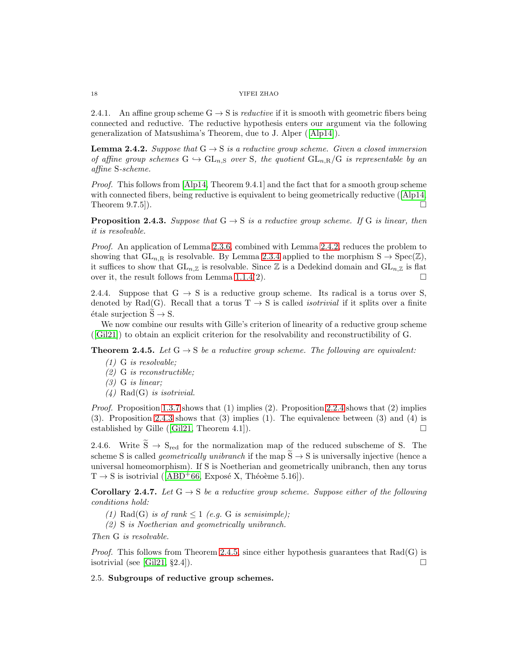2.4.1. An affine group scheme  $G \rightarrow S$  is *reductive* if it is smooth with geometric fibers being connected and reductive. The reductive hypothesis enters our argument via the following generalization of Matsushima's Theorem, due to J. Alper ([\[Alp14\]](#page-23-8)).

<span id="page-17-1"></span>**Lemma 2.4.2.** Suppose that  $G \rightarrow S$  is a reductive group scheme. Given a closed immersion of affine group schemes  $G \hookrightarrow GL_{n,S}$  over S, the quotient  $GL_{n,R}/G$  is representable by an affine S-scheme.

*Proof.* This follows from  $[A]p14$ , Theorem 9.4.1 and the fact that for a smooth group scheme with connected fibers, being reductive is equivalent to being geometrically reductive ([\[Alp14,](#page-23-8) Theorem 9.7.5]).

<span id="page-17-2"></span>**Proposition 2.4.3.** Suppose that  $G \rightarrow S$  is a reductive group scheme. If G is linear, then it is resolvable.

Proof. An application of Lemma [2.3.6,](#page-16-0) combined with Lemma [2.4.2,](#page-17-1) reduces the problem to showing that  $GL_{n,R}$  is resolvable. By Lemma [2.3.4](#page-16-3) applied to the morphism  $S \to Spec(\mathbb{Z}),$ it suffices to show that  $GL_{n,\mathbb{Z}}$  is resolvable. Since  $\mathbb Z$  is a Dedekind domain and  $GL_{n,\mathbb{Z}}$  is flat over it, the result follows from Lemma [1.1.4\(](#page-3-7)2).

2.4.4. Suppose that  $G \rightarrow S$  is a reductive group scheme. Its radical is a torus over S, denoted by Rad(G). Recall that a torus  $T \to S$  is called *isotrivial* if it splits over a finite  $\text{\'etale surjection } \widetilde{S} \rightarrow S.$ 

We now combine our results with Gille's criterion of linearity of a reductive group scheme ([\[Gil21\]](#page-23-9)) to obtain an explicit criterion for the resolvability and reconstructibility of G.

<span id="page-17-0"></span>**Theorem 2.4.5.** Let  $G \rightarrow S$  be a reductive group scheme. The following are equivalent:

- (1) G is resolvable;
- (2) G is reconstructible;
- (3) G is linear;
- $(4)$  Rad(G) is isotrivial.

*Proof.* Proposition [1.3.7](#page-6-0) shows that  $(1)$  implies  $(2)$ . Proposition [2.2.4](#page-15-0) shows that  $(2)$  implies (3). Proposition [2.4.3](#page-17-2) shows that (3) implies (1). The equivalence between (3) and (4) is established by Gille ([\[Gil21,](#page-23-9) Theorem 4.1]).  $\Box$ 

2.4.6. Write  $\widetilde{S} \rightarrow S_{red}$  for the normalization map of the reduced subscheme of S. The scheme S is called *geometrically unibranch* if the map  $\tilde{S} \rightarrow S$  is universally injective (hence a universal homeomorphism). If S is Noetherian and geometrically unibranch, then any torus  $T \rightarrow S$  is isotrivial ([\[ABD](#page-23-16)<sup>+</sup>66, Exposé X, Théoème 5.16]).

**Corollary 2.4.7.** Let  $G \rightarrow S$  be a reductive group scheme. Suppose either of the following conditions hold:

- (1) Rad(G) is of rank  $\leq 1$  (e.g. G is semisimple);
- (2) S is Noetherian and geometrically unibranch.

Then G is resolvable.

*Proof.* This follows from Theorem [2.4.5,](#page-17-0) since either hypothesis guarantees that  $Rad(G)$  is isotrivial (see [\[Gil21,](#page-23-9) §2.4]).

# 2.5. Subgroups of reductive group schemes.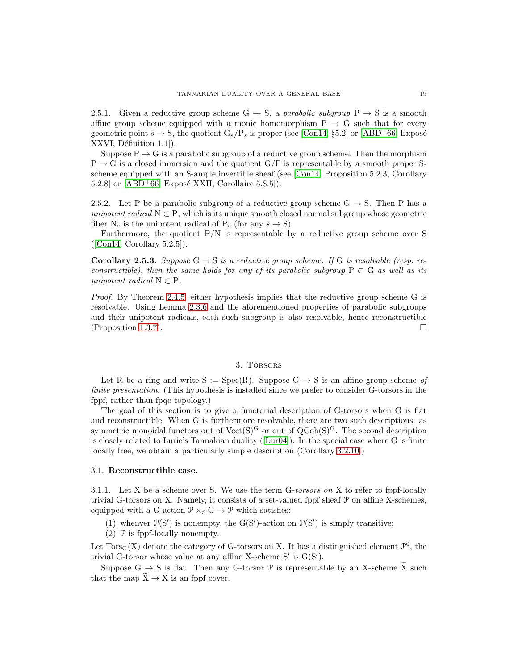2.5.1. Given a reductive group scheme G  $\rightarrow$  S, a parabolic subgroup P  $\rightarrow$  S is a smooth affine group scheme equipped with a monic homomorphism  $P \rightarrow G$  such that for every geometric point  $\bar{s} \to S$ , the quotient  $G_{\bar{s}}/P_{\bar{s}}$  is proper (see [\[Con14,](#page-23-17) §5.2] or [\[ABD](#page-23-16)+66, Exposé XXVI, Définition 1.1]).

Suppose  $P \rightarrow G$  is a parabolic subgroup of a reductive group scheme. Then the morphism  $P \rightarrow G$  is a closed immersion and the quotient  $G/P$  is representable by a smooth proper Sscheme equipped with an S-ample invertible sheaf (see [\[Con14,](#page-23-17) Proposition 5.2.3, Corollary 5.2.8] or  $[ABD+66, Exposé XXII, Corollaire 5.8.5]$ .

2.5.2. Let P be a parabolic subgroup of a reductive group scheme  $G \rightarrow S$ . Then P has a unipotent radical  $N \subset P$ , which is its unique smooth closed normal subgroup whose geometric fiber  $N_{\bar{s}}$  is the unipotent radical of  $P_{\bar{s}}$  (for any  $\bar{s} \to S$ ).

Furthermore, the quotient  $P/N$  is representable by a reductive group scheme over S  $([Con14, Corollary 5.2.5]).$  $([Con14, Corollary 5.2.5]).$  $([Con14, Corollary 5.2.5]).$ 

<span id="page-18-1"></span>**Corollary 2.5.3.** Suppose  $G \rightarrow S$  is a reductive group scheme. If G is resolvable (resp. reconstructible), then the same holds for any of its parabolic subgroup  $P \subset G$  as well as its unipotent radical  $N \subset P$ .

Proof. By Theorem [2.4.5,](#page-17-0) either hypothesis implies that the reductive group scheme G is resolvable. Using Lemma [2.3.6](#page-16-0) and the aforementioned properties of parabolic subgroups and their unipotent radicals, each such subgroup is also resolvable, hence reconstructible (Proposition [1.3.7\)](#page-6-0).

#### 3. Torsors

<span id="page-18-0"></span>Let R be a ring and write  $S := Spec(R)$ . Suppose  $G \rightarrow S$  is an affine group scheme of finite presentation. (This hypothesis is installed since we prefer to consider G-torsors in the fppf, rather than fpqc topology.)

The goal of this section is to give a functorial description of G-torsors when G is flat and reconstructible. When G is furthermore resolvable, there are two such descriptions: as symmetric monoidal functors out of  $Vect(S)^G$  or out of  $QCoh(S)^G$ . The second description is closely related to Lurie's Tannakian duality ([\[Lur04\]](#page-23-12)). In the special case where G is finite locally free, we obtain a particularly simple description (Corollary [3.2.10.](#page-22-0))

#### 3.1. Reconstructible case.

3.1.1. Let X be a scheme over S. We use the term G-torsors on X to refer to fppf-locally trivial G-torsors on X. Namely, it consists of a set-valued fppf sheaf P on affine X-schemes, equipped with a G-action  $\mathcal{P} \times_S G \to \mathcal{P}$  which satisfies:

(1) whenver  $\mathcal{P}(S')$  is nonempty, the  $G(S')$ -action on  $\mathcal{P}(S')$  is simply transitive;

 $(2)$  P is fppf-locally nonempty.

Let  $Tors_G(X)$  denote the category of G-torsors on X. It has a distinguished element  $\mathcal{P}^0$ , the trivial G-torsor whose value at any affine X-scheme  $S'$  is  $G(S')$ .

Suppose G  $\rightarrow$  S is flat. Then any G-torsor P is representable by an X-scheme  $\widetilde{X}$  such that the map  $\widetilde{X} \to X$  is an fppf cover.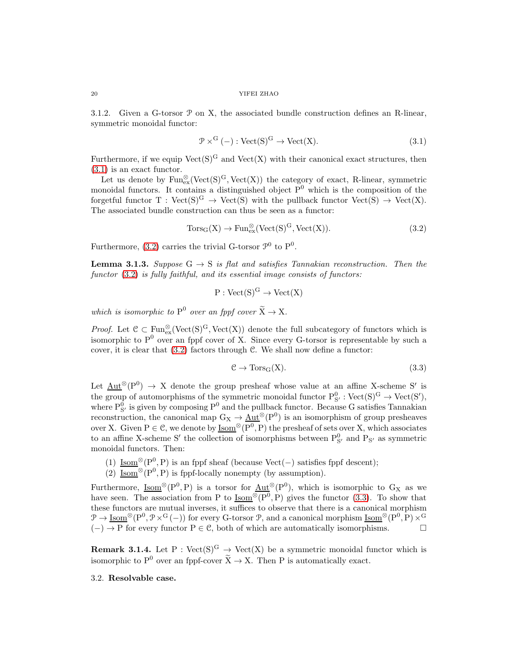3.1.2. Given a G-torsor  $P$  on X, the associated bundle construction defines an R-linear, symmetric monoidal functor:

<span id="page-19-0"></span>
$$
\mathcal{P} \times^{\mathcal{G}} (-) : \text{Vect}(\mathcal{S})^{\mathcal{G}} \to \text{Vect}(\mathcal{X}). \tag{3.1}
$$

Furthermore, if we equip  $Vect(S)^G$  and  $Vect(X)$  with their canonical exact structures, then [\(3.1\)](#page-19-0) is an exact functor.

Let us denote by  $\text{Fun}^{\otimes}_{{\text{ex}}}(\text{Vect}(S)^G, \text{Vect}(X))$  the category of exact, R-linear, symmetric monoidal functors. It contains a distinguished object  $P^0$  which is the composition of the forgetful functor  $T : Vect(S)^G \rightarrow Vect(S)$  with the pullback functor  $Vect(S) \rightarrow Vect(X)$ . The associated bundle construction can thus be seen as a functor:

<span id="page-19-1"></span>
$$
Tors_G(X) \to Fun_{ex}^{\otimes} (Vect(S)^G, Vect(X)).
$$
\n(3.2)

Furthermore, [\(3.2\)](#page-19-1) carries the trivial G-torsor  $\mathcal{P}^0$  to  $P^0$ .

<span id="page-19-3"></span>**Lemma 3.1.3.** Suppose  $G \rightarrow S$  is flat and satisfies Tannakian reconstruction. Then the functor  $(3.2)$  is fully faithful, and its essential image consists of functors:

$$
P: \mathrm{Vect}(S)^G \to \mathrm{Vect}(X)
$$

which is isomorphic to  $P^0$  over an fppf cover  $\widetilde{X} \to X$ .

*Proof.* Let  $\mathcal{C} \subset \text{Fun}_{ex}^{\otimes}(\text{Vect}(S)^G, \text{Vect}(X))$  denote the full subcategory of functors which is isomorphic to  $P^0$  over an fppf cover of X. Since every G-torsor is representable by such a cover, it is clear that  $(3.2)$  factors through C. We shall now define a functor:

<span id="page-19-2"></span>
$$
\mathcal{C} \to \text{Tors}_{G}(X). \tag{3.3}
$$

Let  $\underline{\mathrm{Aut}}^{\otimes}(\mathrm{P}^0) \to X$  denote the group presheaf whose value at an affine X-scheme S' is the group of automorphisms of the symmetric monoidal functor  $P_{S'}^0$ :  $Vect(S)^G \rightarrow Vect(S')$ , where  $P_{S'}^0$  is given by composing  $P^0$  and the pullback functor. Because G satisfies Tannakian reconstruction, the canonical map  $G_X \to \underline{Aut}^{\otimes}(\underline{P}^0)$  is an isomorphism of group presheaves over X. Given  $P \in \mathcal{C}$ , we denote by  $\underline{\mathrm{Isom}}^{\otimes}(P^0, P)$  the presheaf of sets over X, which associates to an affine X-scheme S' the collection of isomorphisms between  $P_{S'}^{0}$  and  $P_{S'}$  as symmetric monoidal functors. Then:

- (1)  $\underline{\mathrm{Isom}}^{\otimes}(\mathrm{P}^0, \mathrm{P})$  is an fppf sheaf (because Vect(-) satisfies fppf descent);
- (2) Isom<sup>⊗</sup>( $P^0$ , P) is fppf-locally nonempty (by assumption).

Furthermore,  $\underline{\text{Isom}}^{\otimes}(P^0, P)$  is a torsor for  $\underline{\text{Aut}}^{\otimes}(P^0)$ , which is isomorphic to  $G_X$  as we have seen. The association from P to  $\underline{\text{Isom}}^{\otimes}(\text{P}^0, \text{P})$  gives the functor [\(3.3\)](#page-19-2). To show that these functors are mutual inverses, it suffices to observe that there is a canonical morphism  $\mathcal{P} \to \underline{\mathrm{Isom}}^{\otimes}(\mathrm{P}^0, \mathcal{P} \times^G (-))$  for every G-torsor  $\mathcal{P}$ , and a canonical morphism  $\underline{\mathrm{Isom}}^{\otimes}(\mathrm{P}^0, \mathrm{P}) \times^G$  $(-) \rightarrow P$  for every functor  $P \in \mathcal{C}$ , both of which are automatically isomorphisms.

**Remark 3.1.4.** Let P : Vect(S)<sup>G</sup>  $\rightarrow$  Vect(X) be a symmetric monoidal functor which is isomorphic to  $P^0$  over an fppf-cover  $\widetilde{X} \to X$ . Then P is automatically exact.

## 3.2. Resolvable case.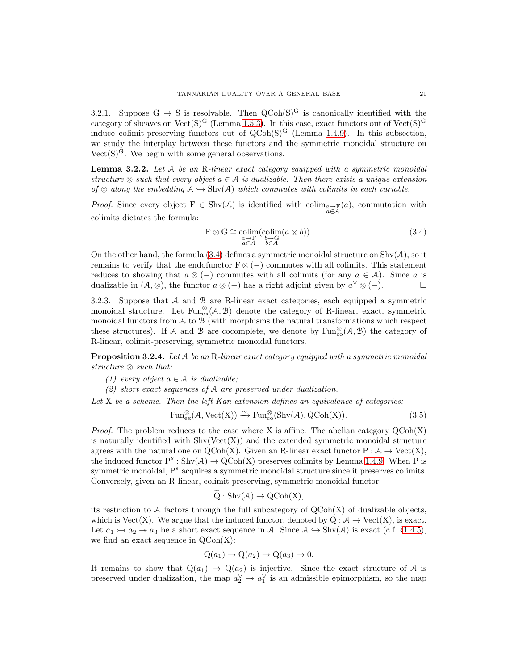3.2.1. Suppose  $G \rightarrow S$  is resolvable. Then  $QCoh(S)^G$  is canonically identified with the category of sheaves on Vect(S)<sup>G</sup> (Lemma [1.5.3\)](#page-8-2). In this case, exact functors out of Vect(S)<sup>G</sup> induce colimit-preserving functors out of  $QCoh(S)^G$  (Lemma [1.4.9\)](#page-7-5). In this subsection, we study the interplay between these functors and the symmetric monoidal structure on Vect $(S)^G$ . We begin with some general observations.

**Lemma 3.2.2.** Let  $A$  be an R-linear exact category equipped with a symmetric monoidal structure ⊗ such that every object  $a \in A$  is dualizable. Then there exists a unique extension of  $\otimes$  along the embedding  $A \hookrightarrow \text{Shv}(A)$  which commutes with colimits in each variable.

*Proof.* Since every object  $F \in Shv(\mathcal{A})$  is identified with  $\operatorname{colim}_{\substack{a \to F \\ a \in \mathcal{A}}} (a)$ , commutation with colimits dictates the formula:

<span id="page-20-0"></span>
$$
\mathcal{F} \otimes \mathcal{G} \cong \underset{\substack{a \to \mathcal{F} \\ a \in \mathcal{A}}} {\text{colim}} (\underset{b \in \mathcal{A}}{\text{colim}} (a \otimes b)). \tag{3.4}
$$

On the other hand, the formula  $(3.4)$  defines a symmetric monoidal structure on  $\text{Shv}(\mathcal{A})$ , so it remains to verify that the endofunctor  $F \otimes (-)$  commutes with all colimits. This statement reduces to showing that  $a \otimes (-)$  commutes with all colimits (for any  $a \in A$ ). Since a is dualizable in  $(A, \otimes)$ , the functor  $a \otimes (-)$  has a right adjoint given by  $a^{\vee} \otimes (-)$ .

3.2.3. Suppose that A and B are R-linear exact categories, each equipped a symmetric monoidal structure. Let  $Fun_{\text{ex}}^{\otimes}(\mathcal{A}, \mathcal{B})$  denote the category of R-linear, exact, symmetric monoidal functors from  $A$  to  $B$  (with morphisms the natural transformations which respect these structures). If A and B are cocomplete, we denote by  $\text{Fun}^{\otimes}_{\text{co}}(\mathcal{A}, \mathcal{B})$  the category of R-linear, colimit-preserving, symmetric monoidal functors.

<span id="page-20-2"></span>**Proposition 3.2.4.** Let  $A$  be an R-linear exact category equipped with a symmetric monoidal structure ⊗ such that:

- (1) every object  $a \in \mathcal{A}$  is dualizable;
- (2) short exact sequences of A are preserved under dualization.

Let  $X$  be a scheme. Then the left Kan extension defines an equivalence of categories:

<span id="page-20-1"></span>
$$
\operatorname{Fun}_{\operatorname{ex}}^{\otimes}(\mathcal{A}, \operatorname{Vect}(X)) \xrightarrow{\sim} \operatorname{Fun}_{\operatorname{co}}^{\otimes}(\operatorname{Shv}(\mathcal{A}), \operatorname{QCoh}(X)).\tag{3.5}
$$

*Proof.* The problem reduces to the case where X is affine. The abelian category  $QCoh(X)$ is naturally identified with  $\text{Shv}(\text{Vect}(X))$  and the extended symmetric monoidal structure agrees with the natural one on  $QCoh(X)$ . Given an R-linear exact functor  $P : \mathcal{A} \to Vect(X)$ , the induced functor  $P^s : \text{Shv}(\mathcal{A}) \to \text{QCoh}(X)$  preserves colimits by Lemma [1.4.9.](#page-7-5) When P is symmetric monoidal,  $P^s$  acquires a symmetric monoidal structure since it preserves colimits. Conversely, given an R-linear, colimit-preserving, symmetric monoidal functor:

$$
Q: \mathrm{Shv}(\mathcal{A}) \to \mathrm{QCoh}(X),
$$

its restriction to  $\mathcal A$  factors through the full subcategory of  $QCoh(X)$  of dualizable objects, which is Vect(X). We argue that the induced functor, denoted by  $Q : A \rightarrow Vect(X)$ , is exact. Let  $a_1 \rightarrow a_2 \rightarrow a_3$  be a short exact sequence in A. Since  $A \hookrightarrow \text{Shv}(A)$  is exact (c.f. §[1.4.5\)](#page-7-2), we find an exact sequence in  $QCoh(X)$ :

$$
Q(a_1) \to Q(a_2) \to Q(a_3) \to 0.
$$

It remains to show that  $Q(a_1) \rightarrow Q(a_2)$  is injective. Since the exact structure of A is preserved under dualization, the map  $a_2^{\vee} \twoheadrightarrow a_1^{\vee}$  is an admissible epimorphism, so the map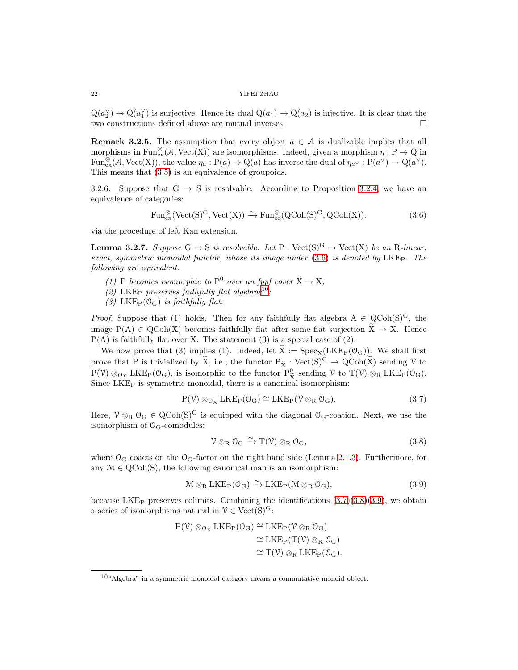$Q(a_2^{\vee}) \to Q(a_1^{\vee})$  is surjective. Hence its dual  $Q(a_1) \to Q(a_2)$  is injective. It is clear that the two constructions defined above are mutual inverses.

**Remark 3.2.5.** The assumption that every object  $a \in \mathcal{A}$  is dualizable implies that all morphisms in  $\text{Fun}^{\otimes}_\text{ex}(\mathcal{A}, \text{Vect}(X))$  are isomorphisms. Indeed, given a morphism  $\eta : P \to Q$  in Fun<sup>⊗</sup>(A, Vect(X)), the value  $\eta_a : P(a) \to Q(a)$  has inverse the dual of  $\eta_{a} \circ P(a^{\vee}) \to Q(a^{\vee})$ . This means that [\(3.5\)](#page-20-1) is an equivalence of groupoids.

3.2.6. Suppose that  $G \rightarrow S$  is resolvable. According to Proposition [3.2.4,](#page-20-2) we have an equivalence of categories:

<span id="page-21-0"></span>
$$
\operatorname{Fun}_{\operatorname{ex}}^{\otimes}(\operatorname{Vect}({\rm S})^{\rm G},\operatorname{Vect}({\rm X})) \xrightarrow{\sim} \operatorname{Fun}_{\operatorname{co}}^{\otimes}({\rm QCoh}({\rm S})^{\rm G}, {\rm QCoh}({\rm X})). \tag{3.6}
$$

via the procedure of left Kan extension.

<span id="page-21-5"></span>**Lemma 3.2.7.** Suppose  $G \to S$  is resolvable. Let  $P : \text{Vect}(S)^G \to \text{Vect}(X)$  be an R-linear, exact, symmetric monoidal functor, whose its image under  $(3.6)$  is denoted by LKE<sub>P</sub>. The following are equivalent.

- (1) P becomes isomorphic to  $P^0$  over an fppf cover  $\widetilde{X} \to X$ ;
- (2) LKE<sub>P</sub> preserves faithfully flat algebras<sup>[10](#page-21-1)</sup>;
- (3) LKE<sub>P</sub>( $O_G$ ) is faithfully flat.

*Proof.* Suppose that (1) holds. Then for any faithfully flat algebra  $A \in QCoh(S)^G$ , the image  $P(A) \in QCoh(X)$  becomes faithfully flat after some flat surjection  $\tilde{X} \to X$ . Hence  $P(A)$  is faithfully flat over X. The statement (3) is a special case of (2).

We now prove that (3) implies (1). Indeed, let  $\tilde{X} := \text{Spec}_{X}(\text{LKE}_{P}(\mathcal{O}_{G}))$ . We shall first prove that P is trivialized by  $\widetilde{X}$ , i.e., the functor  $P_{\widetilde{X}}$ :  $Vect(S)^G \to QCoh(\widetilde{X})$  sending  $\mathcal V$  to  $P(\mathcal{V}) \otimes_{\mathcal{O}_X} LKE_P(\mathcal{O}_G)$ , is isomorphic to the functor  $P^0_{\tilde{X}}$  sending  $\mathcal{V}$  to  $T(\mathcal{V}) \otimes_R LKE_P(\mathcal{O}_G)$ . Since LKE<sup>P</sup> is symmetric monoidal, there is a canonical isomorphism:

<span id="page-21-2"></span>
$$
P(\mathcal{V}) \otimes_{\mathcal{O}_X} LKE_P(\mathcal{O}_G) \cong LKE_P(\mathcal{V} \otimes_R \mathcal{O}_G). \tag{3.7}
$$

Here,  $\mathcal{V} \otimes_R \mathcal{O}_G \in QCoh(S)^G$  is equipped with the diagonal  $\mathcal{O}_G$ -coation. Next, we use the isomorphism of  $\mathcal{O}_G$ -comodules:

<span id="page-21-3"></span>
$$
\mathcal{V} \otimes_{R} \mathcal{O}_{G} \xrightarrow{\sim} T(\mathcal{V}) \otimes_{R} \mathcal{O}_{G}, \qquad (3.8)
$$

where  $\mathcal{O}_G$  coacts on the  $\mathcal{O}_G$ -factor on the right hand side (Lemma [2.1.3\)](#page-14-4). Furthermore, for any  $\mathcal{M} \in \text{QCoh}(S)$ , the following canonical map is an isomorphism:

<span id="page-21-4"></span>
$$
\mathcal{M} \otimes_{R} LKE_{P}(\mathcal{O}_{G}) \xrightarrow{\sim} LKE_{P}(\mathcal{M} \otimes_{R} \mathcal{O}_{G}), \tag{3.9}
$$

because LKE<sub>P</sub> preserves colimits. Combining the identifications  $(3.7)(3.8)(3.9)$  $(3.7)(3.8)(3.9)$  $(3.7)(3.8)(3.9)$ , we obtain a series of isomorphisms natural in  $\mathcal{V} \in \text{Vect}(S)^G$ :

$$
\begin{aligned} \mathrm{P}(\mathcal{V}) \otimes_{\mathcal{O}_{\mathrm{X}}} \mathrm{LKE}_{\mathrm{P}}(\mathcal{O}_{\mathrm{G}}) &\cong \mathrm{LKE}_{\mathrm{P}}(\mathcal{V} \otimes_{\mathrm{R}} \mathcal{O}_{\mathrm{G}}) \\ &\cong \mathrm{LKE}_{\mathrm{P}}(\mathrm{T}(\mathcal{V}) \otimes_{\mathrm{R}} \mathcal{O}_{\mathrm{G}}) \\ &\cong \mathrm{T}(\mathcal{V}) \otimes_{\mathrm{R}} \mathrm{LKE}_{\mathrm{P}}(\mathcal{O}_{\mathrm{G}}). \end{aligned}
$$

<span id="page-21-1"></span> $^{10}$ "Algebra" in a symmetric monoidal category means a commutative monoid object.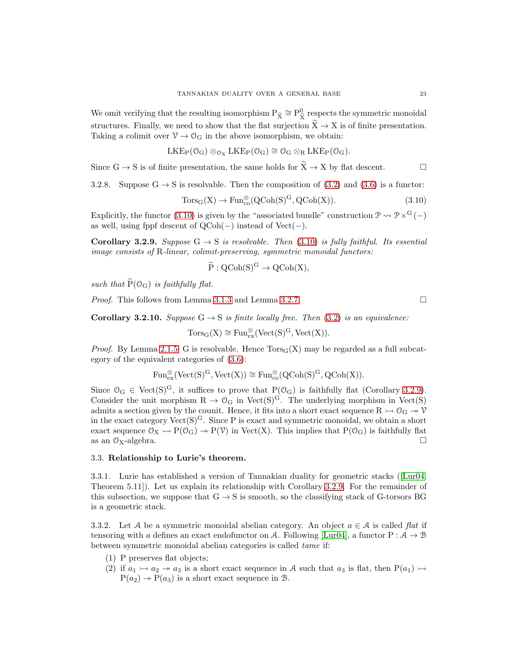We omit verifying that the resulting isomorphism  $P_{\tilde{X}} \cong P_{\tilde{X}}^0$  respects the symmetric monoidal structures. Finally, we need to show that the flat surjection  $\tilde{X} \to X$  is of finite presentation. Taking a colimit over  $\mathcal{V} \to \mathcal{O}_G$  in the above isomorphism, we obtain:

$$
LKE_P(\mathcal{O}_G) \otimes_{\mathcal{O}_X} LKE_P(\mathcal{O}_G) \cong \mathcal{O}_G \otimes_R LKE_P(\mathcal{O}_G).
$$

Since  $G \to S$  is of finite presentation, the same holds for  $\widetilde{X} \to X$  by flat descent.

3.2.8. Suppose  $G \rightarrow S$  is resolvable. Then the composition of [\(3.2\)](#page-19-1) and [\(3.6\)](#page-21-0) is a functor:

<span id="page-22-1"></span>
$$
Tors_G(X) \to Fun_{co}^{\otimes}(QCoh(S)^G, QCoh(X)). \tag{3.10}
$$

Explicitly, the functor [\(3.10\)](#page-22-1) is given by the "associated bundle" construction  $\mathcal{P} \rightsquigarrow \mathcal{P} \times^G (-)$ as well, using fppf descent of  $QCoh(-)$  instead of Vect $(-)$ .

<span id="page-22-2"></span>**Corollary 3.2.9.** Suppose  $G \rightarrow S$  is resolvable. Then [\(3.10\)](#page-22-1) is fully faithful. Its essential image consists of R-linear, colimit-preserving, symmetric monoidal functors:

$$
\widetilde{P}: QCoh(S)^G \to QCoh(X),
$$

such that  $\widetilde{P}(O_G)$  is faithfully flat.

*Proof.* This follows from Lemma [3.1.3](#page-19-3) and Lemma [3.2.7.](#page-21-5)

<span id="page-22-0"></span>**Corollary 3.2.10.** Suppose  $G \rightarrow S$  is finite locally free. Then [\(3.2\)](#page-19-1) is an equivalence:

$$
\operatorname{Tors}_G(X)\cong \operatorname{Fun}_{\operatorname{ex}}^{\otimes}(\operatorname{Vect}(S)^G,\operatorname{Vect}(X)).
$$

*Proof.* By Lemma [2.1.5,](#page-14-0) G is resolvable. Hence  $Tors_G(X)$  may be regarded as a full subcategory of the equivalent categories of [\(3.6\)](#page-21-0):

$$
\mathrm{Fun}^{\otimes}_\mathrm{ex}(\mathrm{Vect}(S)^G,\mathrm{Vect}(X))\cong \mathrm{Fun}^{\otimes}_\mathrm{co}(\mathrm{QCoh}(S)^G,\mathrm{QCoh}(X)).
$$

Since  $\mathcal{O}_G \in \text{Vect}(S)^G$ , it suffices to prove that  $P(\mathcal{O}_G)$  is faithfully flat (Corollary [3.2.9\)](#page-22-2). Consider the unit morphism  $R \to \mathcal{O}_G$  in Vect(S)<sup>G</sup>. The underlying morphism in Vect(S) admits a section given by the counit. Hence, it fits into a short exact sequence  $R \rightarrow Q_G \rightarrow V$ in the exact category  $Vect(S)^G$ . Since P is exact and symmetric monoidal, we obtain a short exact sequence  $\mathcal{O}_X \rightarrow P(\mathcal{O}_G) \rightarrow P(\mathcal{V})$  in Vect(X). This implies that  $P(\mathcal{O}_G)$  is faithfully flat as an  $\mathcal{O}_X$ -algebra.  $\square$ 

# 3.3. Relationship to Lurie's theorem.

3.3.1. Lurie has established a version of Tannakian duality for geometric stacks ([\[Lur04,](#page-23-12) Theorem 5.11]). Let us explain its relationship with Corollary [3.2.9.](#page-22-2) For the remainder of this subsection, we suppose that  $G \rightarrow S$  is smooth, so the classifying stack of G-torsors BG is a geometric stack.

3.3.2. Let A be a symmetric monoidal abelian category. An object  $a \in A$  is called flat if tensoring with a defines an exact endofunctor on A. Following [\[Lur04\]](#page-23-12), a functor  $P : A \rightarrow B$ between symmetric monoidal abelian categories is called tame if:

- (1) P preserves flat objects;
- (2) if  $a_1 \rightarrow a_2 \rightarrow a_3$  is a short exact sequence in A such that  $a_3$  is flat, then  $P(a_1) \rightarrow$  $P(a_2) \rightarrow P(a_3)$  is a short exact sequence in B.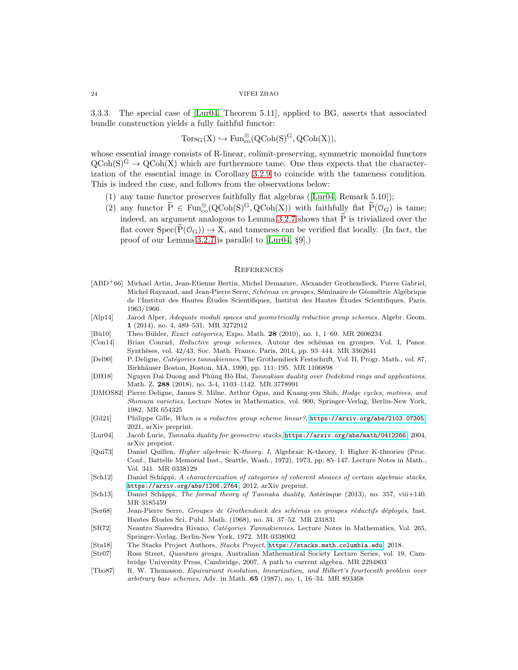3.3.3. The special case of [\[Lur04,](#page-23-12) Theorem 5.11], applied to BG, asserts that associated bundle construction yields a fully faithful functor:

$$
\rm{Tors}_G(X)\hookrightarrow \rm{Fun}^{\otimes}_{{\rm co}}(QCoh(S)^G,QCoh(X)),
$$

whose essential image consists of R-linear, colimit-preserving, symmetric monoidal functors  $QCoh(S)^G \to QCoh(X)$  which are furthermore tame. One thus expects that the characterization of the essential image in Corollary [3.2.9](#page-22-2) to coincide with the tameness condition. This is indeed the case, and follows from the observations below:

- (1) any tame functor preserves faithfully flat algebras ([\[Lur04,](#page-23-12) Remark 5.10]);
- (2) any functor  $\widetilde{P} \in \text{Fun}^{\otimes}_{\text{co}}(\text{QCoh}(S)^G, \text{QCoh}(X))$  with faithfully flat  $\widetilde{P}(\mathcal{O}_G)$  is tame; indeed, an argument analogous to Lemma [3.2.7](#page-21-5) shows that  $\widetilde{P}$  is trivialized over the flat cover  $Spec(P(\mathcal{O}_G)) \to X$ , and tameness can be verified flat locally. (In fact, the proof of our Lemma [3.2.7](#page-21-5) is parallel to [\[Lur04,](#page-23-12) §9].)

#### <span id="page-23-0"></span>**REFERENCES**

- <span id="page-23-16"></span>[ABD+66] Michael Artin, Jean-Etienne Bertin, Michel Demazure, Alexander Grothendieck, Pierre Gabriel, Michel Raynaud, and Jean-Pierre Serre, Schémas en groupes, Séminaire de Géométrie Algébrique de l'Institut des Hautes Études Scientifiques, Institut des Hautes Études Scientifiques, Paris, 1963/1966.
- <span id="page-23-8"></span>[Alp14] Jarod Alper, Adequate moduli spaces and geometrically reductive group schemes, Algebr. Geom. 1 (2014), no. 4, 489–531. MR 3272912
- <span id="page-23-14"></span>[Bü10] Theo Bühler, *Exact categories*, Expo. Math. 28 (2010), no. 1, 1-69. MR 2606234
- <span id="page-23-17"></span>[Con14] Brian Conrad, Reductive group schemes, Autour des schémas en groupes. Vol. I, Panor. Synthèses, vol. 42/43, Soc. Math. France, Paris, 2014, pp. 93–444. MR 3362641
- <span id="page-23-3"></span>[Del90] P. Deligne, Catégories tannakiennes, The Grothendieck Festschrift, Vol. II, Progr. Math., vol. 87, Birkhäuser Boston, Boston, MA, 1990, pp. 111-195. MR 1106898
- <span id="page-23-11"></span>[DH18] Nguyen Dai Duong and Phùng Hô Hai, Tannakian duality over Dedekind rings and applications, Math. Z. 288 (2018), no. 3-4, 1103–1142. MR 3778991
- <span id="page-23-2"></span>[DMOS82] Pierre Deligne, James S. Milne, Arthur Ogus, and Kuang-yen Shih, Hodge cycles, motives, and Shimura varieties, Lecture Notes in Mathematics, vol. 900, Springer-Verlag, Berlin-New York, 1982. MR 654325
- <span id="page-23-9"></span>[Gil21] Philippe Gille, When is a reductive group scheme linear?, <https://arxiv.org/abs/2103.07305>, 2021, arXiv preprint.
- <span id="page-23-12"></span>[Lur04] Jacob Lurie, Tannaka duality for geometric stacks, <https://arxiv.org/abs/math/0412266>, 2004, arXiv preprint.
- <span id="page-23-7"></span>[Qui73] Daniel Quillen, Higher algebraic K-theory. I, Algebraic K-theory, I: Higher K-theories (Proc. Conf., Battelle Memorial Inst., Seattle, Wash., 1972), 1973, pp. 85–147. Lecture Notes in Math., Vol. 341. MR 0338129
- <span id="page-23-13"></span>[Sch12] Daniel Schäppi, A characterization of categories of coherent sheaves of certain algebraic stacks, <https://arxiv.org/abs/1206.2764>, 2012, arXiv preprint.
- <span id="page-23-5"></span>[Sch13] Daniel Schäppi, The formal theory of Tannaka duality, Astérisque (2013), no. 357, viii+140. MR 3185459
- <span id="page-23-10"></span>[Ser68] Jean-Pierre Serre, Groupes de Grothendieck des schémas en groupes réductifs déployés, Inst. Hautes Etudes Sci. Publ. Math. (1968), no. 34, 37–52. MR 231831 ´
- <span id="page-23-1"></span>[SR72] Neantro Saavedra Rivano, Catégories Tannakiennes, Lecture Notes in Mathematics, Vol. 265, Springer-Verlag, Berlin-New York, 1972. MR 0338002
- <span id="page-23-15"></span>[Sta18] The Stacks Project Authors, Stacks Project, <https://stacks.math.columbia.edu>, 2018.
- <span id="page-23-4"></span>[Str07] Ross Street, Quantum groups, Australian Mathematical Society Lecture Series, vol. 19, Cambridge University Press, Cambridge, 2007, A path to current algebra. MR 2294803
- <span id="page-23-6"></span>[Tho87] R. W. Thomason, Equivariant resolution, linearization, and Hilbert's fourteenth problem over arbitrary base schemes, Adv. in Math. 65 (1987), no. 1, 16–34. MR 893468